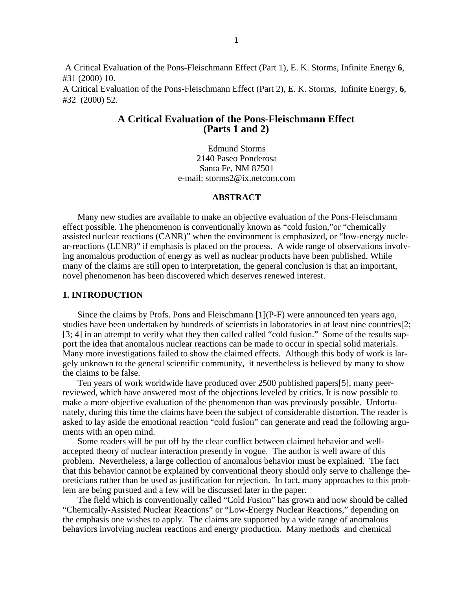A Critical Evaluation of the Pons-Fleischmann Effect (Part 1), E. K. Storms, Infinite Energy **6**, #31 (2000) 10.

A Critical Evaluation of the Pons-Fleischmann Effect (Part 2), E. K. Storms, Infinite Energy, **6**, #32 (2000) 52.

# **A Critical Evaluation of the Pons-Fleischmann Effect (Parts 1 and 2)**

Edmund Storms 2140 Paseo Ponderosa Santa Fe, NM 87501 e-mail: storms2@ix.netcom.com

### **ABSTRACT**

Many new studies are available to make an objective evaluation of the Pons-Fleischmann effect possible. The phenomenon is conventionally known as "cold fusion,"or "chemically assisted nuclear reactions (CANR)" when the environment is emphasized, or "low-energy nuclear-reactions (LENR)" if emphasis is placed on the process. A wide range of observations involving anomalous production of energy as well as nuclear products have been published. While many of the claims are still open to interpretation, the general conclusion is that an important, novel phenomenon has been discovered which deserves renewed interest.

# **1. INTRODUCTION**

Since the claims by Profs. Pons and Fleischmann [1](P-F) were announced ten years ago, studies have been undertaken by hundreds of scientists in laboratories in at least nine countries[2; [3; 4] in an attempt to verify what they then called called "cold fusion." Some of the results support the idea that anomalous nuclear reactions can be made to occur in special solid materials. Many more investigations failed to show the claimed effects. Although this body of work is largely unknown to the general scientific community, it nevertheless is believed by many to show the claims to be false.

Ten years of work worldwide have produced over 2500 published papers[5], many peerreviewed, which have answered most of the objections leveled by critics. It is now possible to make a more objective evaluation of the phenomenon than was previously possible. Unfortunately, during this time the claims have been the subject of considerable distortion. The reader is asked to lay aside the emotional reaction "cold fusion" can generate and read the following arguments with an open mind.

Some readers will be put off by the clear conflict between claimed behavior and wellaccepted theory of nuclear interaction presently in vogue. The author is well aware of this problem. Nevertheless, a large collection of anomalous behavior must be explained. The fact that this behavior cannot be explained by conventional theory should only serve to challenge theoreticians rather than be used as justification for rejection. In fact, many approaches to this problem are being pursued and a few will be discussed later in the paper.

The field which is conventionally called "Cold Fusion" has grown and now should be called "Chemically-Assisted Nuclear Reactions" or "Low-Energy Nuclear Reactions," depending on the emphasis one wishes to apply. The claims are supported by a wide range of anomalous behaviors involving nuclear reactions and energy production. Many methods and chemical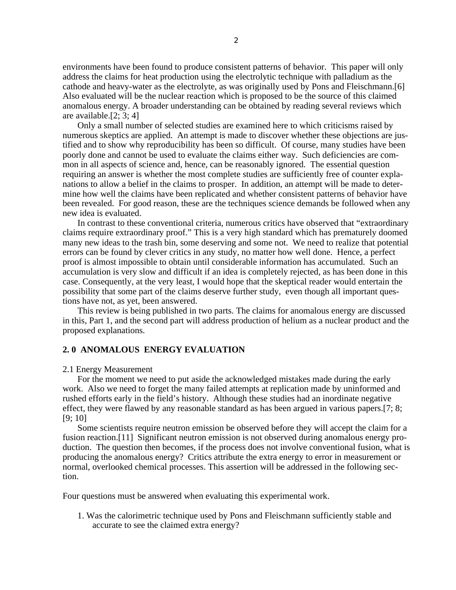environments have been found to produce consistent patterns of behavior. This paper will only address the claims for heat production using the electrolytic technique with palladium as the cathode and heavy-water as the electrolyte, as was originally used by Pons and Fleischmann.[6] Also evaluated will be the nuclear reaction which is proposed to be the source of this claimed anomalous energy. A broader understanding can be obtained by reading several reviews which are available.[2; 3; 4]

Only a small number of selected studies are examined here to which criticisms raised by numerous skeptics are applied. An attempt is made to discover whether these objections are justified and to show why reproducibility has been so difficult. Of course, many studies have been poorly done and cannot be used to evaluate the claims either way. Such deficiencies are common in all aspects of science and, hence, can be reasonably ignored. The essential question requiring an answer is whether the most complete studies are sufficiently free of counter explanations to allow a belief in the claims to prosper. In addition, an attempt will be made to determine how well the claims have been replicated and whether consistent patterns of behavior have been revealed. For good reason, these are the techniques science demands be followed when any new idea is evaluated.

In contrast to these conventional criteria, numerous critics have observed that "extraordinary claims require extraordinary proof." This is a very high standard which has prematurely doomed many new ideas to the trash bin, some deserving and some not. We need to realize that potential errors can be found by clever critics in any study, no matter how well done. Hence, a perfect proof is almost impossible to obtain until considerable information has accumulated. Such an accumulation is very slow and difficult if an idea is completely rejected, as has been done in this case. Consequently, at the very least, I would hope that the skeptical reader would entertain the possibility that some part of the claims deserve further study, even though all important questions have not, as yet, been answered.

This review is being published in two parts. The claims for anomalous energy are discussed in this, Part 1, and the second part will address production of helium as a nuclear product and the proposed explanations.

# **2. 0 ANOMALOUS ENERGY EVALUATION**

## 2.1 Energy Measurement

For the moment we need to put aside the acknowledged mistakes made during the early work. Also we need to forget the many failed attempts at replication made by uninformed and rushed efforts early in the field's history. Although these studies had an inordinate negative effect, they were flawed by any reasonable standard as has been argued in various papers.[7; 8; [9; 10]

Some scientists require neutron emission be observed before they will accept the claim for a fusion reaction.[11] Significant neutron emission is not observed during anomalous energy production. The question then becomes, if the process does not involve conventional fusion, what is producing the anomalous energy? Critics attribute the extra energy to error in measurement or normal, overlooked chemical processes. This assertion will be addressed in the following section.

Four questions must be answered when evaluating this experimental work.

1. Was the calorimetric technique used by Pons and Fleischmann sufficiently stable and accurate to see the claimed extra energy?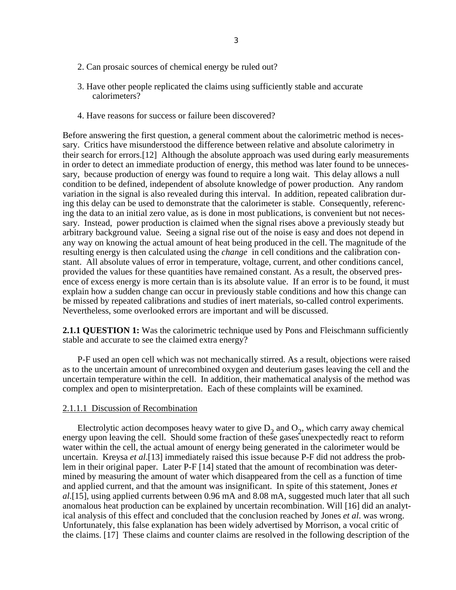- 2. Can prosaic sources of chemical energy be ruled out?
- 3. Have other people replicated the claims using sufficiently stable and accurate calorimeters?
- 4. Have reasons for success or failure been discovered?

Before answering the first question, a general comment about the calorimetric method is necessary. Critics have misunderstood the difference between relative and absolute calorimetry in their search for errors.[12] Although the absolute approach was used during early measurements in order to detect an immediate production of energy, this method was later found to be unnecessary, because production of energy was found to require a long wait. This delay allows a null condition to be defined, independent of absolute knowledge of power production. Any random variation in the signal is also revealed during this interval. In addition, repeated calibration during this delay can be used to demonstrate that the calorimeter is stable. Consequently, referencing the data to an initial zero value, as is done in most publications, is convenient but not necessary. Instead, power production is claimed when the signal rises above a previously steady but arbitrary background value. Seeing a signal rise out of the noise is easy and does not depend in any way on knowing the actual amount of heat being produced in the cell. The magnitude of the resulting energy is then calculated using the *change* in cell conditions and the calibration constant. All absolute values of error in temperature, voltage, current, and other conditions cancel, provided the values for these quantities have remained constant. As a result, the observed presence of excess energy is more certain than is its absolute value. If an error is to be found, it must explain how a sudden change can occur in previously stable conditions and how this change can be missed by repeated calibrations and studies of inert materials, so-called control experiments. Nevertheless, some overlooked errors are important and will be discussed.

**2.1.1 QUESTION 1:** Was the calorimetric technique used by Pons and Fleischmann sufficiently stable and accurate to see the claimed extra energy?

P-F used an open cell which was not mechanically stirred. As a result, objections were raised as to the uncertain amount of unrecombined oxygen and deuterium gases leaving the cell and the uncertain temperature within the cell. In addition, their mathematical analysis of the method was complex and open to misinterpretation. Each of these complaints will be examined.

# 2.1.1.1 Discussion of Recombination

Electrolytic action decomposes heavy water to give  $D_2$  and  $O_2$ , which carry away chemical energy upon leaving the cell. Should some fraction of these gases unexpectedly react to reform water within the cell, the actual amount of energy being generated in the calorimeter would be uncertain. Kreysa *et al*.[13] immediately raised this issue because P-F did not address the problem in their original paper. Later P-F [14] stated that the amount of recombination was determined by measuring the amount of water which disappeared from the cell as a function of time and applied current, and that the amount was insignificant. In spite of this statement, Jones *et al*.[15], using applied currents between 0.96 mA and 8.08 mA, suggested much later that all such anomalous heat production can be explained by uncertain recombination. Will [16] did an analytical analysis of this effect and concluded that the conclusion reached by Jones *et al*. was wrong. Unfortunately, this false explanation has been widely advertised by Morrison, a vocal critic of the claims. [17] These claims and counter claims are resolved in the following description of the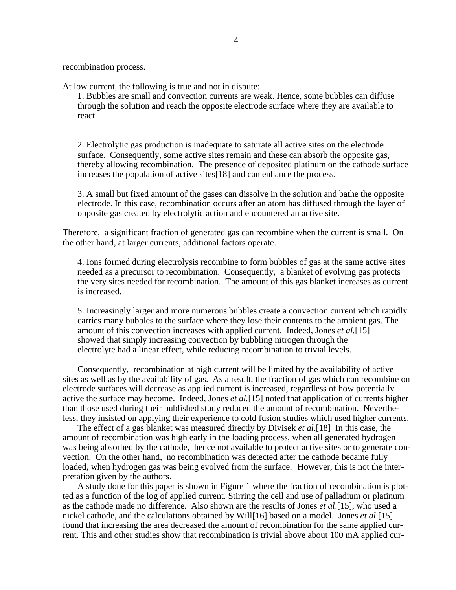recombination process.

At low current, the following is true and not in dispute:

1. Bubbles are small and convection currents are weak. Hence, some bubbles can diffuse through the solution and reach the opposite electrode surface where they are available to react.

2. Electrolytic gas production is inadequate to saturate all active sites on the electrode surface. Consequently, some active sites remain and these can absorb the opposite gas, thereby allowing recombination. The presence of deposited platinum on the cathode surface increases the population of active sites[18] and can enhance the process.

3. A small but fixed amount of the gases can dissolve in the solution and bathe the opposite electrode. In this case, recombination occurs after an atom has diffused through the layer of opposite gas created by electrolytic action and encountered an active site.

Therefore, a significant fraction of generated gas can recombine when the current is small. On the other hand, at larger currents, additional factors operate.

4. Ions formed during electrolysis recombine to form bubbles of gas at the same active sites needed as a precursor to recombination. Consequently, a blanket of evolving gas protects the very sites needed for recombination. The amount of this gas blanket increases as current is increased.

5. Increasingly larger and more numerous bubbles create a convection current which rapidly carries many bubbles to the surface where they lose their contents to the ambient gas. The amount of this convection increases with applied current. Indeed, Jones *et al.*[15] showed that simply increasing convection by bubbling nitrogen through the electrolyte had a linear effect, while reducing recombination to trivial levels.

Consequently, recombination at high current will be limited by the availability of active sites as well as by the availability of gas. As a result, the fraction of gas which can recombine on electrode surfaces will decrease as applied current is increased, regardless of how potentially active the surface may become. Indeed, Jones *et al.*[15] noted that application of currents higher than those used during their published study reduced the amount of recombination. Nevertheless, they insisted on applying their experience to cold fusion studies which used higher currents.

The effect of a gas blanket was measured directly by Divisek *et al*.[18] In this case, the amount of recombination was high early in the loading process, when all generated hydrogen was being absorbed by the cathode, hence not available to protect active sites or to generate convection. On the other hand, no recombination was detected after the cathode became fully loaded, when hydrogen gas was being evolved from the surface. However, this is not the interpretation given by the authors.

A study done for this paper is shown in Figure 1 where the fraction of recombination is plotted as a function of the log of applied current. Stirring the cell and use of palladium or platinum as the cathode made no difference. Also shown are the results of Jones *et al*.[15], who used a nickel cathode, and the calculations obtained by Will[16] based on a model. Jones *et al*.[15] found that increasing the area decreased the amount of recombination for the same applied current. This and other studies show that recombination is trivial above about 100 mA applied cur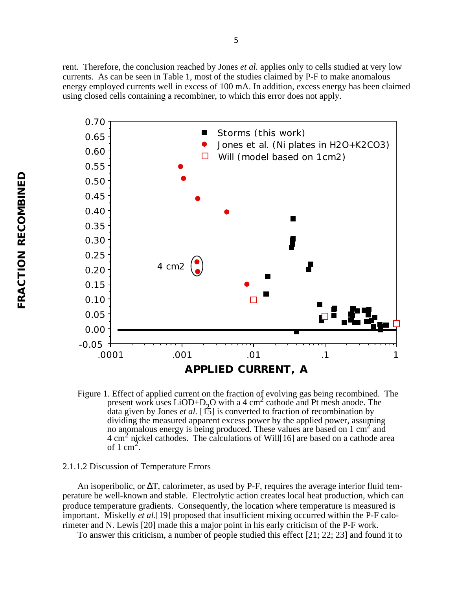rent. Therefore, the conclusion reached by Jones *et al.* applies only to cells studied at very low currents. As can be seen in Table 1, most of the studies claimed by P-F to make anomalous energy employed currents well in excess of 100 mA. In addition, excess energy has been claimed using closed cells containing a recombiner, to which this error does not apply.



Figure 1. Effect of applied current on the fraction of evolving gas being recombined. The present work uses  $LiOD+D_2O$  with a 4 cm<sup>2</sup> cathode and Pt mesh anode. The present work uses  $LiOD+D_2O$  with a 4 cm<sup>2</sup> cathode and Pt mesh anode. The data given by Jones *et al.* [15] is converted to fraction of recombination by dividing the measured apparent excess power by the applied power, assuming no anomalous energy is being produced. These values are based on 1 cm<sup>2</sup> and 4 cm<sup>2</sup> nickel cathodes. The calculations of Will[16] are based on a cathode area of  $1 \text{ cm}^2$ .

### 2.1.1.2 Discussion of Temperature Errors

An isoperibolic, or T, calorimeter, as used by P-F, requires the average interior fluid temperature be well-known and stable. Electrolytic action creates local heat production, which can produce temperature gradients. Consequently, the location where temperature is measured is important. Miskelly *et al*.[19] proposed that insufficient mixing occurred within the P-F calorimeter and N. Lewis [20] made this a major point in his early criticism of the P-F work.

To answer this criticism, a number of people studied this effect [21; 22; 23] and found it to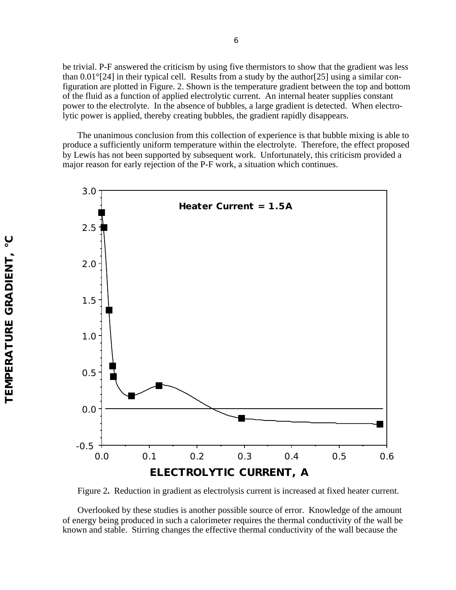be trivial. P-F answered the criticism by using five thermistors to show that the gradient was less than 0.01°[24] in their typical cell. Results from a study by the author[25] using a similar configuration are plotted in Figure. 2. Shown is the temperature gradient between the top and bottom of the fluid as a function of applied electrolytic current. An internal heater supplies constant power to the electrolyte. In the absence of bubbles, a large gradient is detected. When electrolytic power is applied, thereby creating bubbles, the gradient rapidly disappears.

The unanimous conclusion from this collection of experience is that bubble mixing is able to produce a sufficiently uniform temperature within the electrolyte. Therefore, the effect proposed by Lewis has not been supported by subsequent work. Unfortunately, this criticism provided a major reason for early rejection of the P-F work, a situation which continues.



Figure 2**.** Reduction in gradient as electrolysis current is increased at fixed heater current.

Overlooked by these studies is another possible source of error. Knowledge of the amount of energy being produced in such a calorimeter requires the thermal conductivity of the wall be known and stable. Stirring changes the effective thermal conductivity of the wall because the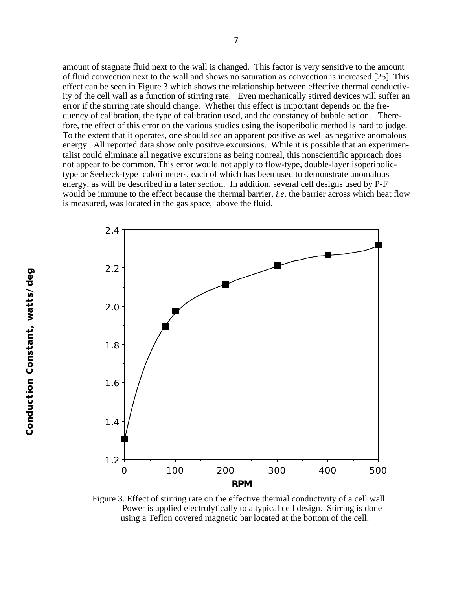amount of stagnate fluid next to the wall is changed. This factor is very sensitive to the amount of fluid convection next to the wall and shows no saturation as convection is increased.[25] This effect can be seen in Figure 3 which shows the relationship between effective thermal conductivity of the cell wall as a function of stirring rate. Even mechanically stirred devices will suffer an error if the stirring rate should change. Whether this effect is important depends on the frequency of calibration, the type of calibration used, and the constancy of bubble action. Therefore, the effect of this error on the various studies using the isoperibolic method is hard to judge. To the extent that it operates, one should see an apparent positive as well as negative anomalous energy. All reported data show only positive excursions. While it is possible that an experimentalist could eliminate all negative excursions as being nonreal, this nonscientific approach does not appear to be common. This error would not apply to flow-type, double-layer isoperibolictype or Seebeck-type calorimeters, each of which has been used to demonstrate anomalous energy, as will be described in a later section. In addition, several cell designs used by P-F would be immune to the effect because the thermal barrier, *i.e.* the barrier across which heat flow is measured, was located in the gas space, above the fluid.



Figure 3. Effect of stirring rate on the effective thermal conductivity of a cell wall. Power is applied electrolytically to a typical cell design. Stirring is done using a Teflon covered magnetic bar located at the bottom of the cell.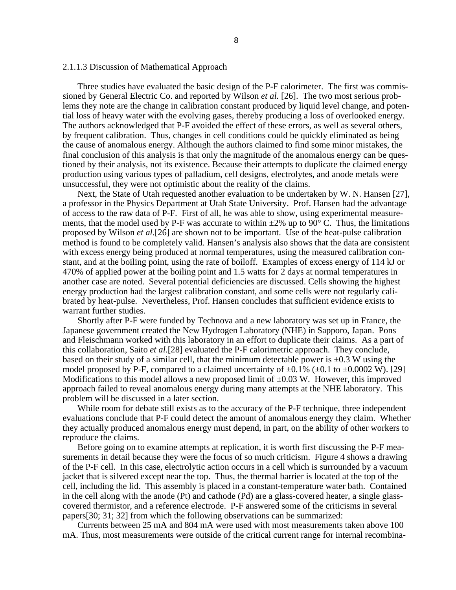#### 2.1.1.3 Discussion of Mathematical Approach

Three studies have evaluated the basic design of the P-F calorimeter. The first was commissioned by General Electric Co. and reported by Wilson *et al.* [26]. The two most serious problems they note are the change in calibration constant produced by liquid level change, and potential loss of heavy water with the evolving gases, thereby producing a loss of overlooked energy. The authors acknowledged that P-F avoided the effect of these errors, as well as several others, by frequent calibration. Thus, changes in cell conditions could be quickly eliminated as being the cause of anomalous energy. Although the authors claimed to find some minor mistakes, the final conclusion of this analysis is that only the magnitude of the anomalous energy can be questioned by their analysis, not its existence. Because their attempts to duplicate the claimed energy production using various types of palladium, cell designs, electrolytes, and anode metals were unsuccessful, they were not optimistic about the reality of the claims.

Next, the State of Utah requested another evaluation to be undertaken by W. N. Hansen [27], a professor in the Physics Department at Utah State University. Prof. Hansen had the advantage of access to the raw data of P-F. First of all, he was able to show, using experimental measurements, that the model used by P-F was accurate to within  $\pm 2\%$  up to 90 $\degree$  C. Thus, the limitations proposed by Wilson *et al.*[26] are shown not to be important. Use of the heat-pulse calibration method is found to be completely valid. Hansen's analysis also shows that the data are consistent with excess energy being produced at normal temperatures, using the measured calibration constant, and at the boiling point, using the rate of boiloff. Examples of excess energy of 114 kJ or 470% of applied power at the boiling point and 1.5 watts for 2 days at normal temperatures in another case are noted. Several potential deficiencies are discussed. Cells showing the highest energy production had the largest calibration constant, and some cells were not regularly calibrated by heat-pulse. Nevertheless, Prof. Hansen concludes that sufficient evidence exists to warrant further studies.

Shortly after P-F were funded by Technova and a new laboratory was set up in France, the Japanese government created the New Hydrogen Laboratory (NHE) in Sapporo, Japan. Pons and Fleischmann worked with this laboratory in an effort to duplicate their claims. As a part of this collaboration, Saito *et al*.[28] evaluated the P-F calorimetric approach. They conclude, based on their study of a similar cell, that the minimum detectable power is  $\pm 0.3$  W using the model proposed by P-F, compared to a claimed uncertainty of  $\pm 0.1\%$  ( $\pm 0.1$  to  $\pm 0.0002$  W). [29] Modifications to this model allows a new proposed limit of  $\pm 0.03$  W. However, this improved approach failed to reveal anomalous energy during many attempts at the NHE laboratory. This problem will be discussed in a later section.

While room for debate still exists as to the accuracy of the P-F technique, three independent evaluations conclude that P-F could detect the amount of anomalous energy they claim. Whether they actually produced anomalous energy must depend, in part, on the ability of other workers to reproduce the claims.

Before going on to examine attempts at replication, it is worth first discussing the P-F measurements in detail because they were the focus of so much criticism. Figure 4 shows a drawing of the P-F cell. In this case, electrolytic action occurs in a cell which is surrounded by a vacuum jacket that is silvered except near the top. Thus, the thermal barrier is located at the top of the cell, including the lid. This assembly is placed in a constant-temperature water bath. Contained in the cell along with the anode (Pt) and cathode (Pd) are a glass-covered heater, a single glasscovered thermistor, and a reference electrode. P-F answered some of the criticisms in several papers[30; 31; 32] from which the following observations can be summarized:

Currents between 25 mA and 804 mA were used with most measurements taken above 100 mA. Thus, most measurements were outside of the critical current range for internal recombina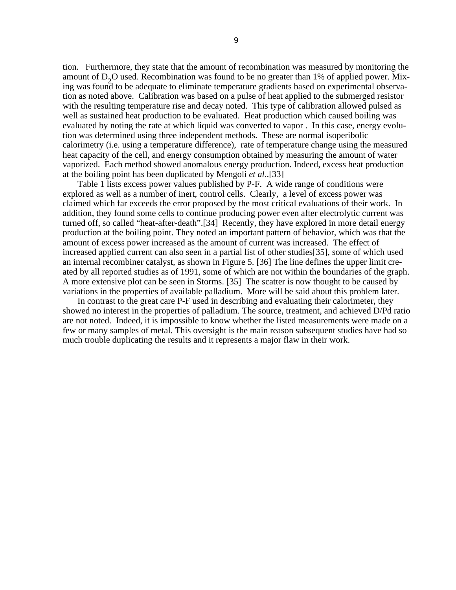tion. Furthermore, they state that the amount of recombination was measured by monitoring the amount of  $D_2O$  used. Recombination was found to be no greater than 1% of applied power. Mixing was found to be adequate to eliminate temperature gradients based on experimental observation as noted above. Calibration was based on a pulse of heat applied to the submerged resistor with the resulting temperature rise and decay noted. This type of calibration allowed pulsed as well as sustained heat production to be evaluated. Heat production which caused boiling was evaluated by noting the rate at which liquid was converted to vapor . In this case, energy evolution was determined using three independent methods. These are normal isoperibolic calorimetry (i.e. using a temperature difference), rate of temperature change using the measured heat capacity of the cell, and energy consumption obtained by measuring the amount of water vaporized. Each method showed anomalous energy production. Indeed, excess heat production at the boiling point has been duplicated by Mengoli *et al*..[33]

Table 1 lists excess power values published by P-F. A wide range of conditions were explored as well as a number of inert, control cells. Clearly, a level of excess power was claimed which far exceeds the error proposed by the most critical evaluations of their work. In addition, they found some cells to continue producing power even after electrolytic current was turned off, so called "heat-after-death".[34] Recently, they have explored in more detail energy production at the boiling point. They noted an important pattern of behavior, which was that the amount of excess power increased as the amount of current was increased. The effect of increased applied current can also seen in a partial list of other studies[35], some of which used an internal recombiner catalyst, as shown in Figure 5. [36] The line defines the upper limit created by all reported studies as of 1991, some of which are not within the boundaries of the graph. A more extensive plot can be seen in Storms. [35] The scatter is now thought to be caused by variations in the properties of available palladium. More will be said about this problem later.

In contrast to the great care P-F used in describing and evaluating their calorimeter, they showed no interest in the properties of palladium. The source, treatment, and achieved D/Pd ratio are not noted. Indeed, it is impossible to know whether the listed measurements were made on a few or many samples of metal. This oversight is the main reason subsequent studies have had so much trouble duplicating the results and it represents a major flaw in their work.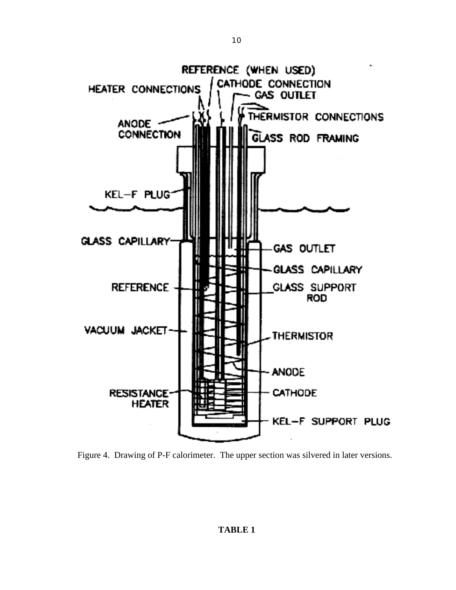

Figure 4. Drawing of P-F calorimeter. The upper section was silvered in later versions.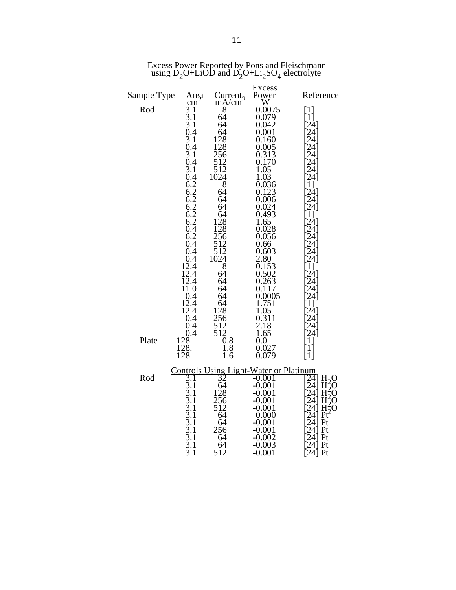|             |                                                              |                                                     | <b>Excess</b>               |                                               |
|-------------|--------------------------------------------------------------|-----------------------------------------------------|-----------------------------|-----------------------------------------------|
| Sample Type | Area                                                         | Current <sub>2</sub><br>mA/cm                       | Power<br>$\hat{\mathbf{W}}$ | Reference                                     |
| Rod         | $\frac{\text{cm}}{3.1}$                                      | $\overline{8}$                                      | 0.0075                      | I                                             |
|             | 3.1                                                          | 64                                                  | 0.079                       | ์11                                           |
|             | 3.1<br>0.4                                                   | 64<br>64                                            | 0.042<br>0.001              | $24$ ]<br>24                                  |
|             | 3.1                                                          | 128                                                 | 0.160                       | 24                                            |
|             | 0.4                                                          | 128                                                 | 0.005                       | 24                                            |
|             | 3.1<br>0.4                                                   | $\frac{256}{512}$                                   | 0.313<br>0.170              | 24<br>24                                      |
|             | $\overline{3.1}$                                             | 512                                                 | 1.05                        | 24                                            |
|             | 0.4                                                          | 1024                                                | 1.03                        | 24]                                           |
|             | $6.2$<br>$6.2$<br>$6.2$<br>$6.2$<br>$6.2$<br>$6.2$<br>$0.4$  | 8<br>64                                             | 0.036<br>0.123              | 11<br>$24$ ]                                  |
|             |                                                              | 64                                                  | 0.006                       | 24                                            |
|             |                                                              | 64<br>64                                            | 0.024<br>0.493              | 241<br>11                                     |
|             |                                                              | 128                                                 | 1.65                        | $24$ ]                                        |
|             |                                                              | 128                                                 | 0.028                       | 24                                            |
|             | 6.2<br>0.4                                                   | 256<br>512                                          | 0.056<br>0.66               | 24<br>24                                      |
|             | 0.4                                                          | 512                                                 | 0.603                       | 24                                            |
|             | 0.4                                                          | 1024                                                | 2.80                        | 24                                            |
|             | 12.4<br>12.4                                                 | 8<br>64                                             | 0.153<br>0.502              | $\begin{bmatrix} 1 \\ 24 \\ 24 \end{bmatrix}$ |
|             | 12.4                                                         | 64                                                  | 0.263                       |                                               |
|             | 11.0<br>0.4                                                  | 64<br>64                                            | 0.117<br>0.0005             | $\frac{24}{24}$                               |
|             | 12.4                                                         | 64                                                  | 1.751                       | 1]                                            |
|             | 12.4                                                         | 128                                                 | 1.05                        | 24                                            |
|             | 0.4<br>0.4                                                   | 256<br>512                                          | 0.311<br>2.18               | 24                                            |
|             | 0.4                                                          | 512                                                 | 1.65                        | $\frac{24}{24}$                               |
| Plate       | 128.                                                         | 0.8                                                 | 0.0                         | 11                                            |
|             | <sup>1</sup> 28.<br>$\overline{1}\overline{2}\overline{8}$ . | 1.8<br>1.6                                          | 0.027<br>0.079              | $1$ ]<br>[1]                                  |
|             |                                                              |                                                     |                             |                                               |
| Rod         |                                                              | <b>Controls Using Light-Water or Platinum</b><br>32 | -0.001                      | 24] H <sub>2</sub> O                          |
|             | 3. l<br>$\overline{3.1}$                                     | 64                                                  | $-0.001$                    | $H_2^2O$<br>24                                |
|             | $\overline{3.1}$                                             | 128                                                 | -0.001                      | 24<br>H<br>$\tilde{z}$ O                      |
|             | 3.1<br>3.1                                                   | 256<br>512                                          | $-0.001$<br>-0.001          | 24<br>H<br>O<br>$H_2^2O$<br>241               |
|             | 3.1                                                          | 64                                                  | 0.000                       | 24<br>Pť                                      |
|             | 3.1                                                          | 64                                                  | -0.001                      | 241<br>Pt                                     |
|             | 3.1<br>3.1                                                   | 256<br>64                                           | $-0.001$<br>-0.002          | 24<br>Pt<br>241<br>Pt                         |
|             | 3.1                                                          | 64                                                  | $-0.003$                    | 24<br>Pt                                      |
|             | 3.1                                                          | 512                                                 | $-0.001$                    | 241 Pt                                        |

Excess Power Reported by Pons and Fleischmann using  $D_2O+LiOD$  and  $D_2O+Li_2SO_4$  electrolyte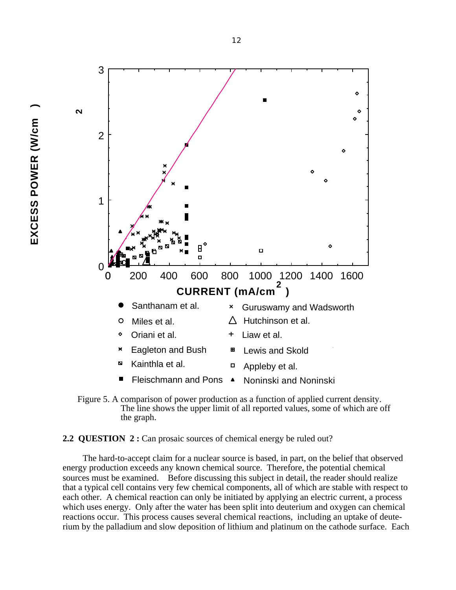**EXCESS POWER (W/cm )** EXCESS POWER (W/cm



 Figure 5. A comparison of power production as a function of applied current density. The line shows the upper limit of all reported values, some of which are off the graph.

**2.2 QUESTION 2 :** Can prosaic sources of chemical energy be ruled out?

The hard-to-accept claim for a nuclear source is based, in part, on the belief that observed energy production exceeds any known chemical source. Therefore, the potential chemical sources must be examined. Before discussing this subject in detail, the reader should realize that a typical cell contains very few chemical components, all of which are stable with respect to each other. A chemical reaction can only be initiated by applying an electric current, a process which uses energy. Only after the water has been split into deuterium and oxygen can chemical reactions occur. This process causes several chemical reactions, including an uptake of deuterium by the palladium and slow deposition of lithium and platinum on the cathode surface. Each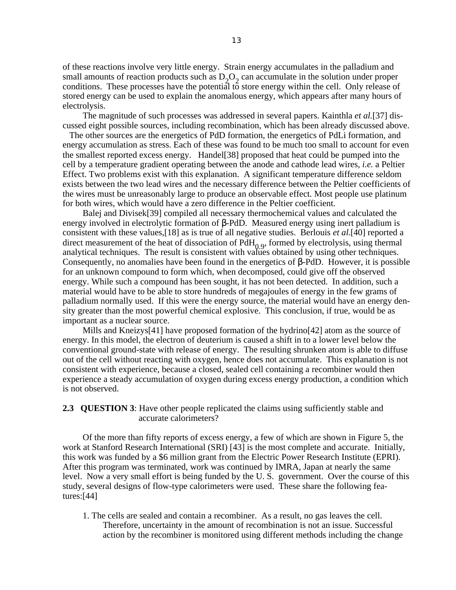of these reactions involve very little energy. Strain energy accumulates in the palladium and small amounts of reaction products such as  $D_2O_2$  can accumulate in the solution under proper conditions. These processes have the potential to store energy within the cell. Only release of stored energy can be used to explain the anomalous energy, which appears after many hours of electrolysis.

The magnitude of such processes was addressed in several papers. Kainthla *et al.*[37] discussed eight possible sources, including recombination, which has been already discussed above.

 The other sources are the energetics of PdD formation, the energetics of PdLi formation, and energy accumulation as stress. Each of these was found to be much too small to account for even the smallest reported excess energy. Handel[38] proposed that heat could be pumped into the cell by a temperature gradient operating between the anode and cathode lead wires, *i.e.* a Peltier Effect. Two problems exist with this explanation. A significant temperature difference seldom exists between the two lead wires and the necessary difference between the Peltier coefficients of the wires must be unreasonably large to produce an observable effect. Most people use platinum for both wires, which would have a zero difference in the Peltier coefficient.

Balej and Divisek[39] compiled all necessary thermochemical values and calculated the energy involved in electrolytic formation of -PdD. Measured energy using inert palladium is consistent with these values,[18] as is true of all negative studies. Berlouis *et al.*[40] reported a direct measurement of the heat of dissociation of  $PdH<sub>0.9</sub>$ , formed by electrolysis, using thermal analytical techniques. The result is consistent with values obtained by using other techniques. Consequently, no anomalies have been found in the energetics of -PdD. However, it is possible for an unknown compound to form which, when decomposed, could give off the observed energy. While such a compound has been sought, it has not been detected. In addition, such a material would have to be able to store hundreds of megajoules of energy in the few grams of palladium normally used. If this were the energy source, the material would have an energy density greater than the most powerful chemical explosive. This conclusion, if true, would be as important as a nuclear source.

Mills and Kneizys[41] have proposed formation of the hydrino[42] atom as the source of energy. In this model, the electron of deuterium is caused a shift in to a lower level below the conventional ground-state with release of energy. The resulting shrunken atom is able to diffuse out of the cell without reacting with oxygen, hence does not accumulate. This explanation is not consistent with experience, because a closed, sealed cell containing a recombiner would then experience a steady accumulation of oxygen during excess energy production, a condition which is not observed.

# **2.3 QUESTION 3:** Have other people replicated the claims using sufficiently stable and accurate calorimeters?

Of the more than fifty reports of excess energy, a few of which are shown in Figure 5, the work at Stanford Research International (SRI) [43] is the most complete and accurate. Initially, this work was funded by a \$6 million grant from the Electric Power Research Institute (EPRI). After this program was terminated, work was continued by IMRA, Japan at nearly the same level. Now a very small effort is being funded by the U. S. government. Over the course of this study, several designs of flow-type calorimeters were used. These share the following features:[44]

1. The cells are sealed and contain a recombiner. As a result, no gas leaves the cell. Therefore, uncertainty in the amount of recombination is not an issue. Successful action by the recombiner is monitored using different methods including the change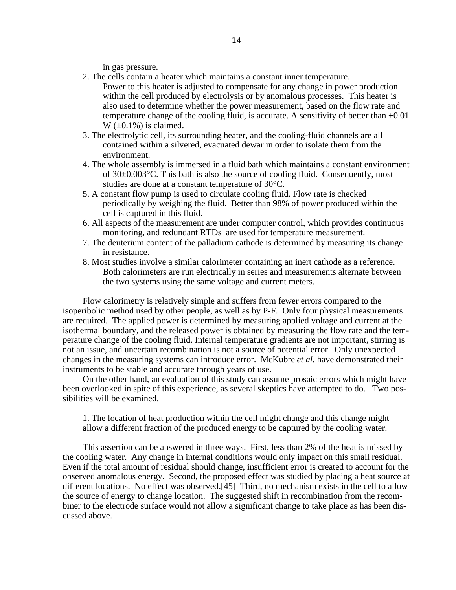in gas pressure.

- 2. The cells contain a heater which maintains a constant inner temperature.
	- Power to this heater is adjusted to compensate for any change in power production within the cell produced by electrolysis or by anomalous processes. This heater is also used to determine whether the power measurement, based on the flow rate and temperature change of the cooling fluid, is accurate. A sensitivity of better than  $\pm 0.01$  $W \left( \pm 0.1\% \right)$  is claimed.
- 3. The electrolytic cell, its surrounding heater, and the cooling-fluid channels are all contained within a silvered, evacuated dewar in order to isolate them from the environment.
- 4. The whole assembly is immersed in a fluid bath which maintains a constant environment of  $30\pm0.003^{\circ}$ C. This bath is also the source of cooling fluid. Consequently, most studies are done at a constant temperature of 30°C.
- 5. A constant flow pump is used to circulate cooling fluid. Flow rate is checked periodically by weighing the fluid. Better than 98% of power produced within the cell is captured in this fluid.
- 6. All aspects of the measurement are under computer control, which provides continuous monitoring, and redundant RTDs are used for temperature measurement.
- 7. The deuterium content of the palladium cathode is determined by measuring its change in resistance.
- 8. Most studies involve a similar calorimeter containing an inert cathode as a reference. Both calorimeters are run electrically in series and measurements alternate between the two systems using the same voltage and current meters.

Flow calorimetry is relatively simple and suffers from fewer errors compared to the isoperibolic method used by other people, as well as by P-F. Only four physical measurements are required. The applied power is determined by measuring applied voltage and current at the isothermal boundary, and the released power is obtained by measuring the flow rate and the temperature change of the cooling fluid. Internal temperature gradients are not important, stirring is not an issue, and uncertain recombination is not a source of potential error. Only unexpected changes in the measuring systems can introduce error. McKubre *et al*. have demonstrated their instruments to be stable and accurate through years of use.

On the other hand, an evaluation of this study can assume prosaic errors which might have been overlooked in spite of this experience, as several skeptics have attempted to do. Two possibilities will be examined.

1. The location of heat production within the cell might change and this change might allow a different fraction of the produced energy to be captured by the cooling water.

This assertion can be answered in three ways. First, less than 2% of the heat is missed by the cooling water. Any change in internal conditions would only impact on this small residual. Even if the total amount of residual should change, insufficient error is created to account for the observed anomalous energy. Second, the proposed effect was studied by placing a heat source at different locations. No effect was observed.[45] Third, no mechanism exists in the cell to allow the source of energy to change location. The suggested shift in recombination from the recombiner to the electrode surface would not allow a significant change to take place as has been discussed above.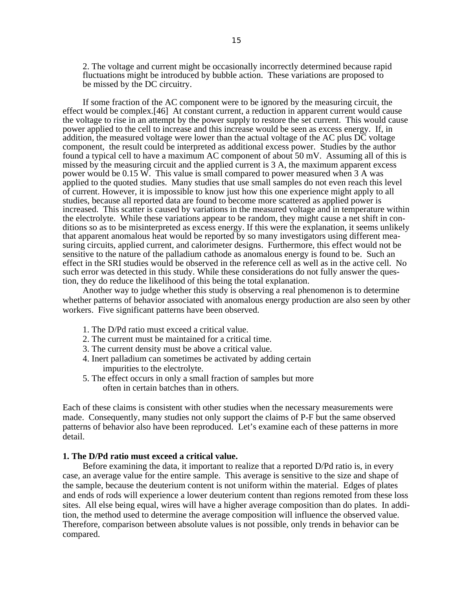2. The voltage and current might be occasionally incorrectly determined because rapid fluctuations might be introduced by bubble action. These variations are proposed to be missed by the DC circuitry.

If some fraction of the AC component were to be ignored by the measuring circuit, the effect would be complex.[46] At constant current, a reduction in apparent current would cause the voltage to rise in an attempt by the power supply to restore the set current. This would cause power applied to the cell to increase and this increase would be seen as excess energy. If, in addition, the measured voltage were lower than the actual voltage of the AC plus DC voltage component, the result could be interpreted as additional excess power. Studies by the author found a typical cell to have a maximum AC component of about 50 mV. Assuming all of this is missed by the measuring circuit and the applied current is 3 A, the maximum apparent excess power would be 0.15 W. This value is small compared to power measured when 3 A was applied to the quoted studies. Many studies that use small samples do not even reach this level of current. However, it is impossible to know just how this one experience might apply to all studies, because all reported data are found to become more scattered as applied power is increased. This scatter is caused by variations in the measured voltage and in temperature within the electrolyte. While these variations appear to be random, they might cause a net shift in conditions so as to be misinterpreted as excess energy. If this were the explanation, it seems unlikely that apparent anomalous heat would be reported by so many investigators using different measuring circuits, applied current, and calorimeter designs. Furthermore, this effect would not be sensitive to the nature of the palladium cathode as anomalous energy is found to be. Such an effect in the SRI studies would be observed in the reference cell as well as in the active cell. No such error was detected in this study. While these considerations do not fully answer the question, they do reduce the likelihood of this being the total explanation.

Another way to judge whether this study is observing a real phenomenon is to determine whether patterns of behavior associated with anomalous energy production are also seen by other workers. Five significant patterns have been observed.

- 1. The D/Pd ratio must exceed a critical value.
- 2. The current must be maintained for a critical time.
- 3. The current density must be above a critical value.
- 4. Inert palladium can sometimes be activated by adding certain impurities to the electrolyte.
- 5. The effect occurs in only a small fraction of samples but more often in certain batches than in others.

Each of these claims is consistent with other studies when the necessary measurements were made. Consequently, many studies not only support the claims of P-F but the same observed patterns of behavior also have been reproduced. Let's examine each of these patterns in more detail.

### **1. The D/Pd ratio must exceed a critical value.**

Before examining the data, it important to realize that a reported D/Pd ratio is, in every case, an average value for the entire sample. This average is sensitive to the size and shape of the sample, because the deuterium content is not uniform within the material. Edges of plates and ends of rods will experience a lower deuterium content than regions remoted from these loss sites. All else being equal, wires will have a higher average composition than do plates. In addition, the method used to determine the average composition will influence the observed value. Therefore, comparison between absolute values is not possible, only trends in behavior can be compared.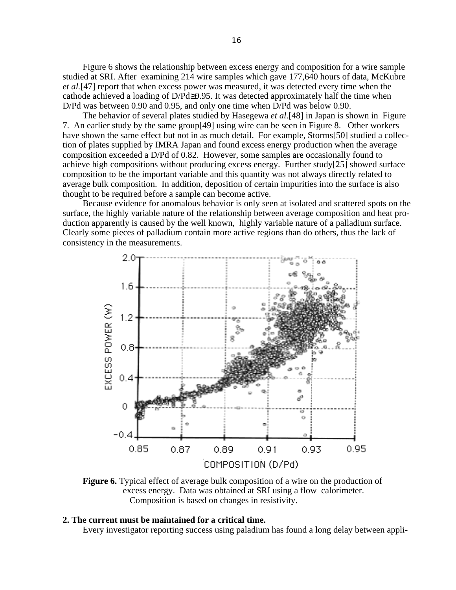Figure 6 shows the relationship between excess energy and composition for a wire sample studied at SRI. After examining 214 wire samples which gave 177,640 hours of data, McKubre *et al.*[47] report that when excess power was measured, it was detected every time when the cathode achieved a loading of D/Pd 0.95. It was detected approximately half the time when D/Pd was between 0.90 and 0.95, and only one time when D/Pd was below 0.90.

The behavior of several plates studied by Hasegewa *et al*.[48] in Japan is shown in Figure 7. An earlier study by the same group[49] using wire can be seen in Figure 8. Other workers have shown the same effect but not in as much detail. For example, Storms[50] studied a collection of plates supplied by IMRA Japan and found excess energy production when the average composition exceeded a D/Pd of 0.82. However, some samples are occasionally found to achieve high compositions without producing excess energy. Further study[25] showed surface composition to be the important variable and this quantity was not always directly related to average bulk composition. In addition, deposition of certain impurities into the surface is also thought to be required before a sample can become active.

Because evidence for anomalous behavior is only seen at isolated and scattered spots on the surface, the highly variable nature of the relationship between average composition and heat production apparently is caused by the well known, highly variable nature of a palladium surface. Clearly some pieces of palladium contain more active regions than do others, thus the lack of consistency in the measurements.



**Figure 6.** Typical effect of average bulk composition of a wire on the production of excess energy. Data was obtained at SRI using a flow calorimeter. Composition is based on changes in resistivity.

### **2. The current must be maintained for a critical time.**

Every investigator reporting success using paladium has found a long delay between appli-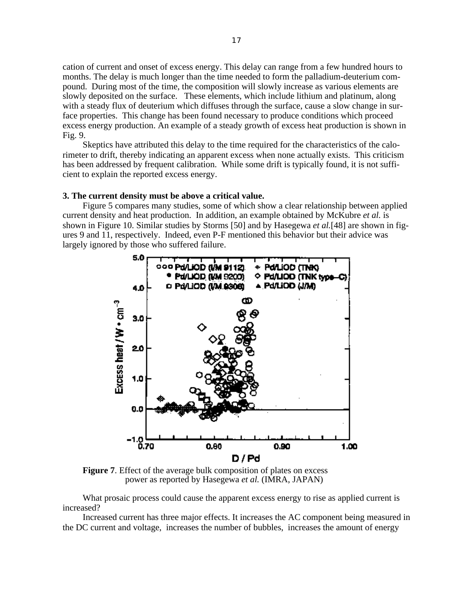cation of current and onset of excess energy. This delay can range from a few hundred hours to months. The delay is much longer than the time needed to form the palladium-deuterium compound. During most of the time, the composition will slowly increase as various elements are slowly deposited on the surface. These elements, which include lithium and platinum, along with a steady flux of deuterium which diffuses through the surface, cause a slow change in surface properties. This change has been found necessary to produce conditions which proceed excess energy production. An example of a steady growth of excess heat production is shown in Fig. 9.

Skeptics have attributed this delay to the time required for the characteristics of the calorimeter to drift, thereby indicating an apparent excess when none actually exists. This criticism has been addressed by frequent calibration. While some drift is typically found, it is not sufficient to explain the reported excess energy.

### **3. The current density must be above a critical value.**

Figure 5 compares many studies, some of which show a clear relationship between applied current density and heat production. In addition, an example obtained by McKubre *et al.* is shown in Figure 10. Similar studies by Storms [50] and by Hasegewa *et al.*[48] are shown in figures 9 and 11, respectively. Indeed, even P-F mentioned this behavior but their advice was largely ignored by those who suffered failure.



**Figure 7.** Effect of the average bulk composition of plates on excess power as reported by Hasegewa *et al.* (IMRA, JAPAN)

What prosaic process could cause the apparent excess energy to rise as applied current is increased?

Increased current has three major effects. It increases the AC component being measured in the DC current and voltage, increases the number of bubbles, increases the amount of energy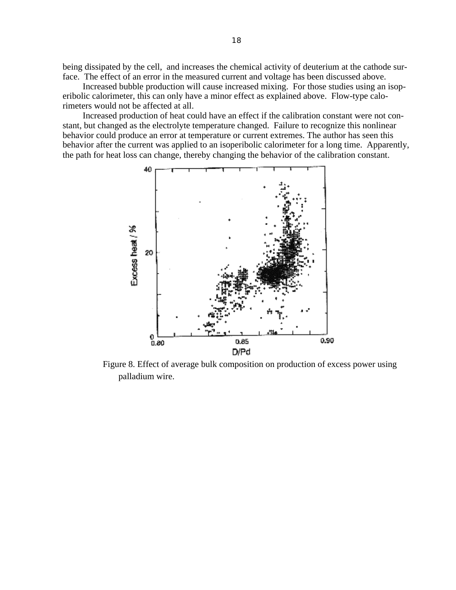being dissipated by the cell, and increases the chemical activity of deuterium at the cathode surface. The effect of an error in the measured current and voltage has been discussed above.

Increased bubble production will cause increased mixing. For those studies using an isoperibolic calorimeter, this can only have a minor effect as explained above. Flow-type calorimeters would not be affected at all.

Increased production of heat could have an effect if the calibration constant were not constant, but changed as the electrolyte temperature changed. Failure to recognize this nonlinear behavior could produce an error at temperature or current extremes. The author has seen this behavior after the current was applied to an isoperibolic calorimeter for a long time. Apparently, the path for heat loss can change, thereby changing the behavior of the calibration constant.



Figure 8. Effect of average bulk composition on production of excess power using palladium wire.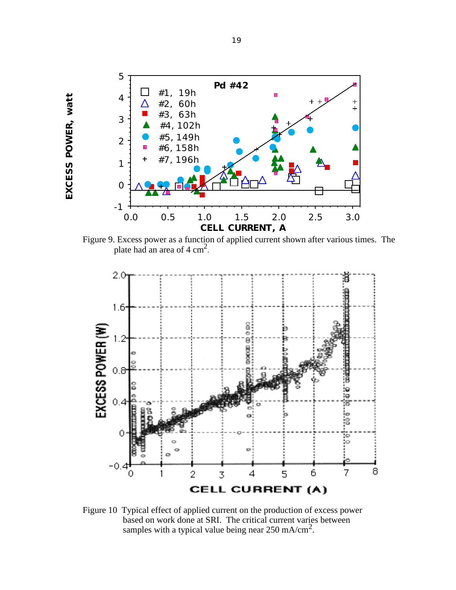

EXCESS POWER, watt **EXCESS POWER, watt**

Figure 9. Excess power as a function of applied current shown after various times. The plate had an area of 4 cm<sup>2</sup>.



Figure 10 Typical effect of applied current on the production of excess power based on work done at SRI. The critical current varies between samples with a typical value being near  $250 \text{ mA/cm}^2$ .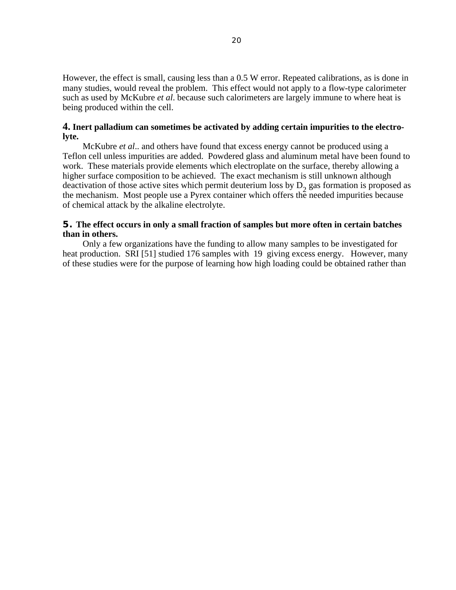However, the effect is small, causing less than a 0.5 W error. Repeated calibrations, as is done in many studies, would reveal the problem. This effect would not apply to a flow-type calorimeter such as used by McKubre *et al*. because such calorimeters are largely immune to where heat is being produced within the cell.

# **4. Inert palladium can sometimes be activated by adding certain impurities to the electrolyte.**

McKubre *et al*.. and others have found that excess energy cannot be produced using a Teflon cell unless impurities are added. Powdered glass and aluminum metal have been found to work. These materials provide elements which electroplate on the surface, thereby allowing a higher surface composition to be achieved. The exact mechanism is still unknown although deactivation of those active sites which permit deuterium loss by  $D_2$  gas formation is proposed as the mechanism. Most people use a Pyrex container which offers the needed impurities because of chemical attack by the alkaline electrolyte.

### **5. The effect occurs in only a small fraction of samples but more often in certain batches than in others.**

Only a few organizations have the funding to allow many samples to be investigated for heat production. SRI [51] studied 176 samples with 19 giving excess energy. However, many of these studies were for the purpose of learning how high loading could be obtained rather than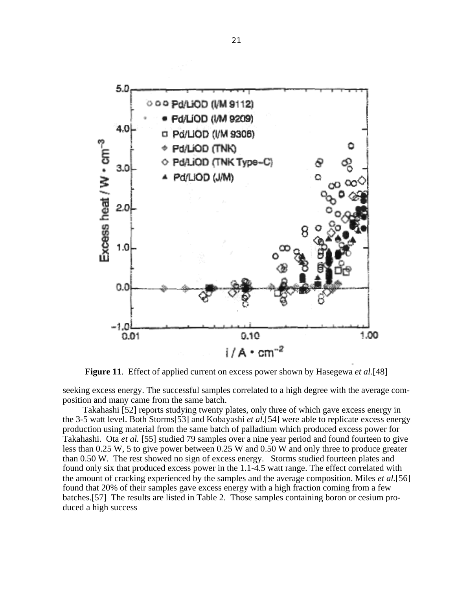

**Figure 11**. Effect of applied current on excess power shown by Hasegewa *et al.*[48]

seeking excess energy. The successful samples correlated to a high degree with the average composition and many came from the same batch.

Takahashi [52] reports studying twenty plates, only three of which gave excess energy in the 3-5 watt level. Both Storms[53] and Kobayashi *et al.*[54] were able to replicate excess energy production using material from the same batch of palladium which produced excess power for Takahashi. Ota *et al.* [55] studied 79 samples over a nine year period and found fourteen to give less than 0.25 W, 5 to give power between 0.25 W and 0.50 W and only three to produce greater than 0.50 W. The rest showed no sign of excess energy. Storms studied fourteen plates and found only six that produced excess power in the 1.1-4.5 watt range. The effect correlated with the amount of cracking experienced by the samples and the average composition. Miles *et al.*[56] found that 20% of their samples gave excess energy with a high fraction coming from a few batches.[57] The results are listed in Table 2. Those samples containing boron or cesium produced a high success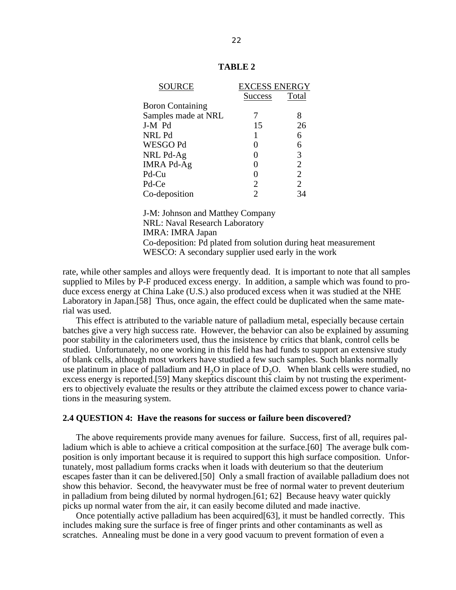| SOURCE                  | <b>EXCESS ENERGY</b> |                |
|-------------------------|----------------------|----------------|
|                         | <b>Success</b>       | Total          |
| <b>Boron Containing</b> |                      |                |
| Samples made at NRL     |                      |                |
| J-M Pd                  | 15                   | 26             |
| NRL Pd                  |                      | 6              |
| WESGO Pd                |                      |                |
| NRL Pd-Ag               |                      | 3              |
| <b>IMRA Pd-Ag</b>       |                      | $\overline{2}$ |
| Pd-Cu                   |                      |                |
| Pd-Ce                   | 2                    | $\overline{2}$ |
| Co-deposition           |                      |                |

# **TABLE 2**

J-M: Johnson and Matthey Company NRL: Naval Research Laboratory IMRA: IMRA Japan Co-deposition: Pd plated from solution during heat measurement WESCO: A secondary supplier used early in the work

rate, while other samples and alloys were frequently dead. It is important to note that all samples supplied to Miles by P-F produced excess energy. In addition, a sample which was found to produce excess energy at China Lake (U.S.) also produced excess when it was studied at the NHE Laboratory in Japan.[58] Thus, once again, the effect could be duplicated when the same material was used.

This effect is attributed to the variable nature of palladium metal, especially because certain batches give a very high success rate. However, the behavior can also be explained by assuming poor stability in the calorimeters used, thus the insistence by critics that blank, control cells be studied. Unfortunately, no one working in this field has had funds to support an extensive study of blank cells, although most workers have studied a few such samples. Such blanks normally use platinum in place of palladium and  $H_2O$  in place of  $D_2O$ . When blank cells were studied, no excess energy is reported.[59] Many skeptics discount this claim by not trusting the experimenters to objectively evaluate the results or they attribute the claimed excess power to chance variations in the measuring system.

#### **2.4 QUESTION 4: Have the reasons for success or failure been discovered?**

The above requirements provide many avenues for failure. Success, first of all, requires palladium which is able to achieve a critical composition at the surface.[60] The average bulk composition is only important because it is required to support this high surface composition. Unfortunately, most palladium forms cracks when it loads with deuterium so that the deuterium escapes faster than it can be delivered.[50] Only a small fraction of available palladium does not show this behavior. Second, the heavywater must be free of normal water to prevent deuterium in palladium from being diluted by normal hydrogen.[61; 62] Because heavy water quickly picks up normal water from the air, it can easily become diluted and made inactive.

Once potentially active palladium has been acquired[63], it must be handled correctly. This includes making sure the surface is free of finger prints and other contaminants as well as scratches. Annealing must be done in a very good vacuum to prevent formation of even a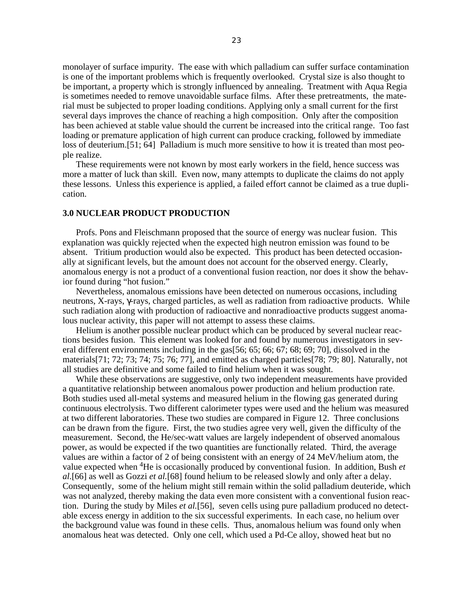monolayer of surface impurity. The ease with which palladium can suffer surface contamination is one of the important problems which is frequently overlooked. Crystal size is also thought to be important, a property which is strongly influenced by annealing. Treatment with Aqua Regia is sometimes needed to remove unavoidable surface films. After these pretreatments, the material must be subjected to proper loading conditions. Applying only a small current for the first several days improves the chance of reaching a high composition. Only after the composition has been achieved at stable value should the current be increased into the critical range. Too fast loading or premature application of high current can produce cracking, followed by immediate loss of deuterium.[51; 64] Palladium is much more sensitive to how it is treated than most people realize.

These requirements were not known by most early workers in the field, hence success was more a matter of luck than skill. Even now, many attempts to duplicate the claims do not apply these lessons. Unless this experience is applied, a failed effort cannot be claimed as a true duplication.

### **3.0 NUCLEAR PRODUCT PRODUCTION**

Profs. Pons and Fleischmann proposed that the source of energy was nuclear fusion. This explanation was quickly rejected when the expected high neutron emission was found to be absent. Tritium production would also be expected. This product has been detected occasionally at significant levels, but the amount does not account for the observed energy. Clearly, anomalous energy is not a product of a conventional fusion reaction, nor does it show the behavior found during "hot fusion."

Nevertheless, anomalous emissions have been detected on numerous occasions, including neutrons, X-rays, -rays, charged particles, as well as radiation from radioactive products. While such radiation along with production of radioactive and nonradioactive products suggest anomalous nuclear activity, this paper will not attempt to assess these claims.

Helium is another possible nuclear product which can be produced by several nuclear reactions besides fusion. This element was looked for and found by numerous investigators in several different environments including in the gas[56; 65; 66; 67; 68; 69; 70], dissolved in the materials[71; 72; 73; 74; 75; 76; 77], and emitted as charged particles[78; 79; 80]. Naturally, not all studies are definitive and some failed to find helium when it was sought.

While these observations are suggestive, only two independent measurements have provided a quantitative relationship between anomalous power production and helium production rate. Both studies used all-metal systems and measured helium in the flowing gas generated during continuous electrolysis. Two different calorimeter types were used and the helium was measured at two different laboratories. These two studies are compared in Figure 12. Three conclusions can be drawn from the figure. First, the two studies agree very well, given the difficulty of the measurement. Second, the He/sec-watt values are largely independent of observed anomalous power, as would be expected if the two quantities are functionally related. Third, the average values are within a factor of 2 of being consistent with an energy of 24 MeV/helium atom, the value expected when 4He is occasionally produced by conventional fusion. In addition, Bush *et al.*[66] as well as Gozzi *et al.*[68] found helium to be released slowly and only after a delay. Consequently, some of the helium might still remain within the solid palladium deuteride, which was not analyzed, thereby making the data even more consistent with a conventional fusion reaction. During the study by Miles *et al.*[56], seven cells using pure palladium produced no detectable excess energy in addition to the six successful experiments. In each case, no helium over the background value was found in these cells. Thus, anomalous helium was found only when anomalous heat was detected. Only one cell, which used a Pd-Ce alloy, showed heat but no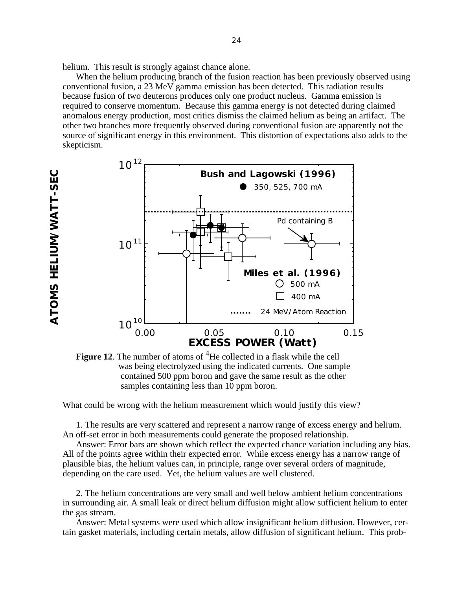helium. This result is strongly against chance alone.

When the helium producing branch of the fusion reaction has been previously observed using conventional fusion, a 23 MeV gamma emission has been detected. This radiation results because fusion of two deuterons produces only one product nucleus. Gamma emission is required to conserve momentum. Because this gamma energy is not detected during claimed anomalous energy production, most critics dismiss the claimed helium as being an artifact. The other two branches more frequently observed during conventional fusion are apparently not the source of significant energy in this environment. This distortion of expectations also adds to the skepticism.



**Figure 12.** The number of atoms of <sup>4</sup>He collected in a flask while the cell was being electrolyzed using the indicated currents. One sample contained 500 ppm boron and gave the same result as the other samples containing less than 10 ppm boron.

What could be wrong with the helium measurement which would justify this view?

1. The results are very scattered and represent a narrow range of excess energy and helium. An off-set error in both measurements could generate the proposed relationship.

Answer: Error bars are shown which reflect the expected chance variation including any bias. All of the points agree within their expected error. While excess energy has a narrow range of plausible bias, the helium values can, in principle, range over several orders of magnitude, depending on the care used. Yet, the helium values are well clustered.

2. The helium concentrations are very small and well below ambient helium concentrations in surrounding air. A small leak or direct helium diffusion might allow sufficient helium to enter the gas stream.

Answer: Metal systems were used which allow insignificant helium diffusion. However, certain gasket materials, including certain metals, allow diffusion of significant helium. This prob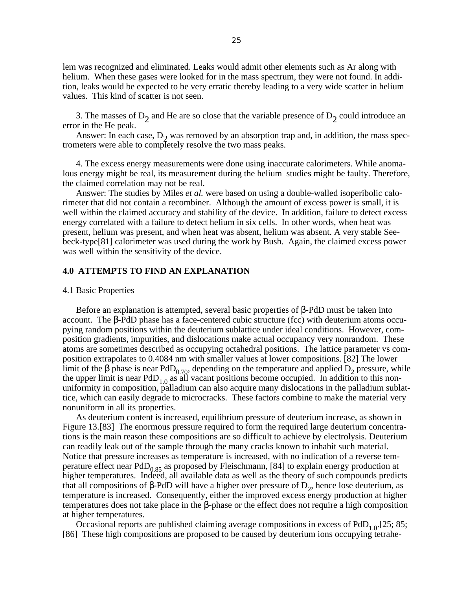lem was recognized and eliminated. Leaks would admit other elements such as Ar along with helium. When these gases were looked for in the mass spectrum, they were not found. In addition, leaks would be expected to be very erratic thereby leading to a very wide scatter in helium values. This kind of scatter is not seen.

3. The masses of  $D_2$  and He are so close that the variable presence of  $D_2$  could introduce an error in the He peak.

Answer: In each case,  $D_2$  was removed by an absorption trap and, in addition, the mass spectrometers were able to completely resolve the two mass peaks.

4. The excess energy measurements were done using inaccurate calorimeters. While anomalous energy might be real, its measurement during the helium studies might be faulty. Therefore, the claimed correlation may not be real.

Answer: The studies by Miles *et al.* were based on using a double-walled isoperibolic calorimeter that did not contain a recombiner. Although the amount of excess power is small, it is well within the claimed accuracy and stability of the device. In addition, failure to detect excess energy correlated with a failure to detect helium in six cells. In other words, when heat was present, helium was present, and when heat was absent, helium was absent. A very stable Seebeck-type[81] calorimeter was used during the work by Bush. Again, the claimed excess power was well within the sensitivity of the device.

### **4.0 ATTEMPTS TO FIND AN EXPLANATION**

#### 4.1 Basic Properties

Before an explanation is attempted, several basic properties of -PdD must be taken into account. The -PdD phase has a face-centered cubic structure (fcc) with deuterium atoms occupying random positions within the deuterium sublattice under ideal conditions. However, composition gradients, impurities, and dislocations make actual occupancy very nonrandom. These atoms are sometimes described as occupying octahedral positions. The lattice parameter vs composition extrapolates to 0.4084 nm with smaller values at lower compositions. [82] The lower limit of the phase is near  $PdD_{0.70}$ , depending on the temperature and applied  $D_2$  pressure, while the upper limit is near PdD<sub>1.0</sub> as all vacant positions become occupied. In addition to this nonuniformity in composition, palladium can also acquire many dislocations in the palladium sublattice, which can easily degrade to microcracks. These factors combine to make the material very nonuniform in all its properties.

 As deuterium content is increased, equilibrium pressure of deuterium increase, as shown in Figure 13.[83] The enormous pressure required to form the required large deuterium concentrations is the main reason these compositions are so difficult to achieve by electrolysis. Deuterium can readily leak out of the sample through the many cracks known to inhabit such material. Notice that pressure increases as temperature is increased, with no indication of a reverse temperature effect near  $PdD_{0.85}$  as proposed by Fleischmann, [84] to explain energy production at higher temperatures. Indeed, all available data as well as the theory of such compounds predicts that all compositions of  $-PdD$  will have a higher over pressure of  $D_2$ , hence lose deuterium, as temperature is increased. Consequently, either the improved excess energy production at higher temperatures does not take place in the -phase or the effect does not require a high composition at higher temperatures.

Occasional reports are published claiming average compositions in excess of  $PdD_{1,0}$ . [25; 85; [86] These high compositions are proposed to be caused by deuterium ions occupying tetrahe-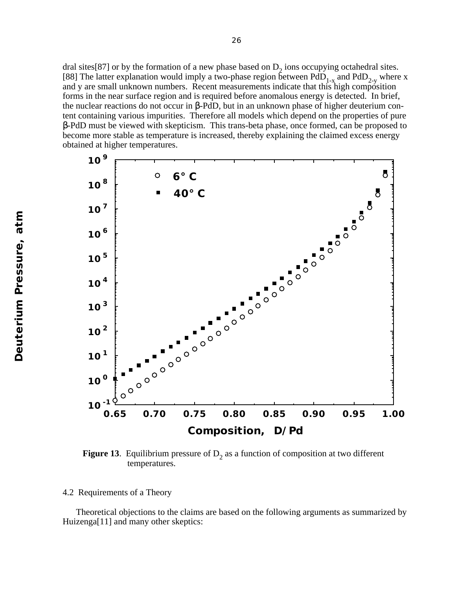dral sites[87] or by the formation of a new phase based on  $D_2$  ions occupying octahedral sites. [88] The latter explanation would imply a two-phase region between  $PdD_{1-x}$  and  $PdD_{2-y}$  where x and y are small unknown numbers. Recent measurements indicate that this high composition forms in the near surface region and is required before anomalous energy is detected. In brief, the nuclear reactions do not occur in -PdD, but in an unknown phase of higher deuterium content containing various impurities. Therefore all models which depend on the properties of pure

-PdD must be viewed with skepticism. This trans-beta phase, once formed, can be proposed to become more stable as temperature is increased, thereby explaining the claimed excess energy obtained at higher temperatures.



**Figure 13**. Equilibrium pressure of  $D_2$  as a function of composition at two different temperatures.

4.2 Requirements of a Theory

Theoretical objections to the claims are based on the following arguments as summarized by Huizenga<sup>[11]</sup> and many other skeptics: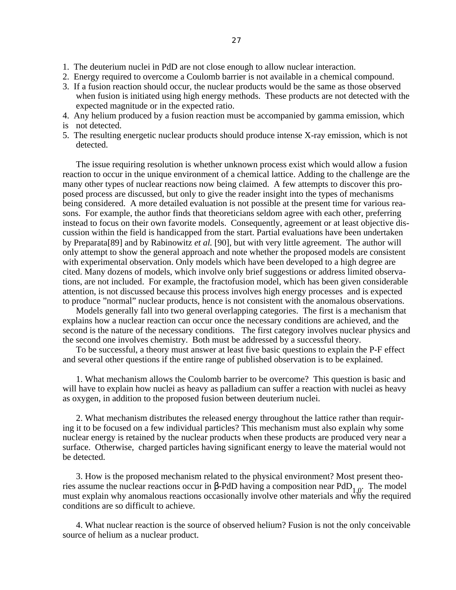- 1. The deuterium nuclei in PdD are not close enough to allow nuclear interaction.
- 2. Energy required to overcome a Coulomb barrier is not available in a chemical compound.
- 3. If a fusion reaction should occur, the nuclear products would be the same as those observed when fusion is initiated using high energy methods. These products are not detected with the expected magnitude or in the expected ratio.
- 4. Any helium produced by a fusion reaction must be accompanied by gamma emission, which
- is not detected.
- 5. The resulting energetic nuclear products should produce intense X-ray emission, which is not detected.

The issue requiring resolution is whether unknown process exist which would allow a fusion reaction to occur in the unique environment of a chemical lattice. Adding to the challenge are the many other types of nuclear reactions now being claimed. A few attempts to discover this proposed process are discussed, but only to give the reader insight into the types of mechanisms being considered. A more detailed evaluation is not possible at the present time for various reasons. For example, the author finds that theoreticians seldom agree with each other, preferring instead to focus on their own favorite models. Consequently, agreement or at least objective discussion within the field is handicapped from the start. Partial evaluations have been undertaken by Preparata[89] and by Rabinowitz *et al.* [90], but with very little agreement. The author will only attempt to show the general approach and note whether the proposed models are consistent with experimental observation. Only models which have been developed to a high degree are cited. Many dozens of models, which involve only brief suggestions or address limited observations, are not included. For example, the fractofusion model, which has been given considerable attention, is not discussed because this process involves high energy processes and is expected to produce "normal" nuclear products, hence is not consistent with the anomalous observations.

Models generally fall into two general overlapping categories. The first is a mechanism that explains how a nuclear reaction can occur once the necessary conditions are achieved, and the second is the nature of the necessary conditions. The first category involves nuclear physics and the second one involves chemistry. Both must be addressed by a successful theory.

To be successful, a theory must answer at least five basic questions to explain the P-F effect and several other questions if the entire range of published observation is to be explained.

1. What mechanism allows the Coulomb barrier to be overcome? This question is basic and will have to explain how nuclei as heavy as palladium can suffer a reaction with nuclei as heavy as oxygen, in addition to the proposed fusion between deuterium nuclei.

2. What mechanism distributes the released energy throughout the lattice rather than requiring it to be focused on a few individual particles? This mechanism must also explain why some nuclear energy is retained by the nuclear products when these products are produced very near a surface. Otherwise, charged particles having significant energy to leave the material would not be detected.

3. How is the proposed mechanism related to the physical environment? Most present theories assume the nuclear reactions occur in -PdD having a composition near PdD<sub>1.0</sub>. The model must explain why anomalous reactions occasionally involve other materials and why the required conditions are so difficult to achieve.

4. What nuclear reaction is the source of observed helium? Fusion is not the only conceivable source of helium as a nuclear product.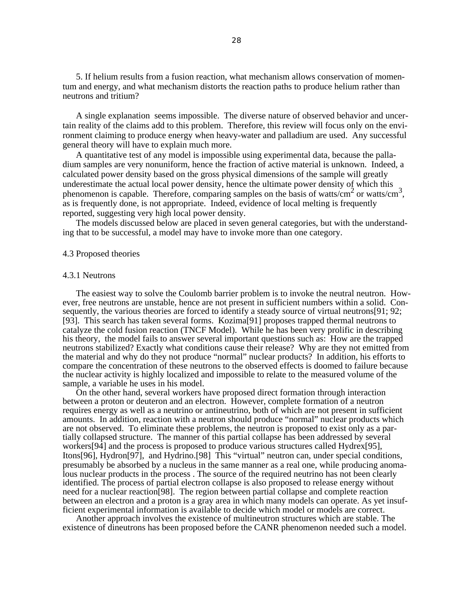5. If helium results from a fusion reaction, what mechanism allows conservation of momentum and energy, and what mechanism distorts the reaction paths to produce helium rather than neutrons and tritium?

A single explanation seems impossible. The diverse nature of observed behavior and uncertain reality of the claims add to this problem. Therefore, this review will focus only on the environment claiming to produce energy when heavy-water and palladium are used. Any successful general theory will have to explain much more.

A quantitative test of any model is impossible using experimental data, because the palladium samples are very nonuniform, hence the fraction of active material is unknown. Indeed, a calculated power density based on the gross physical dimensions of the sample will greatly underestimate the actual local power density, hence the ultimate power density of which this phenomenon is capable. Therefore, comparing samples on the basis of watts/cm<sup>2</sup> or watts/cm<sup>3</sup>, as is frequently done, is not appropriate. Indeed, evidence of local melting is frequently reported, suggesting very high local power density.

The models discussed below are placed in seven general categories, but with the understanding that to be successful, a model may have to invoke more than one category.

#### 4.3 Proposed theories

#### 4.3.1 Neutrons

The easiest way to solve the Coulomb barrier problem is to invoke the neutral neutron. However, free neutrons are unstable, hence are not present in sufficient numbers within a solid. Consequently, the various theories are forced to identify a steady source of virtual neutrons[91; 92; [93]. This search has taken several forms. Kozima[91] proposes trapped thermal neutrons to catalyze the cold fusion reaction (TNCF Model). While he has been very prolific in describing his theory, the model fails to answer several important questions such as: How are the trapped neutrons stabilized? Exactly what conditions cause their release? Why are they not emitted from the material and why do they not produce "normal" nuclear products? In addition, his efforts to compare the concentration of these neutrons to the observed effects is doomed to failure because the nuclear activity is highly localized and impossible to relate to the measured volume of the sample, a variable he uses in his model.

On the other hand, several workers have proposed direct formation through interaction between a proton or deuteron and an electron. However, complete formation of a neutron requires energy as well as a neutrino or antineutrino, both of which are not present in sufficient amounts. In addition, reaction with a neutron should produce "normal" nuclear products which are not observed. To eliminate these problems, the neutron is proposed to exist only as a partially collapsed structure. The manner of this partial collapse has been addressed by several workers[94] and the process is proposed to produce various structures called Hydrex[95], Itons[96], Hydron[97], and Hydrino.[98] This "virtual" neutron can, under special conditions, presumably be absorbed by a nucleus in the same manner as a real one, while producing anomalous nuclear products in the process . The source of the required neutrino has not been clearly identified. The process of partial electron collapse is also proposed to release energy without need for a nuclear reaction[98]. The region between partial collapse and complete reaction between an electron and a proton is a gray area in which many models can operate. As yet insufficient experimental information is available to decide which model or models are correct.

Another approach involves the existence of multineutron structures which are stable. The existence of dineutrons has been proposed before the CANR phenomenon needed such a model.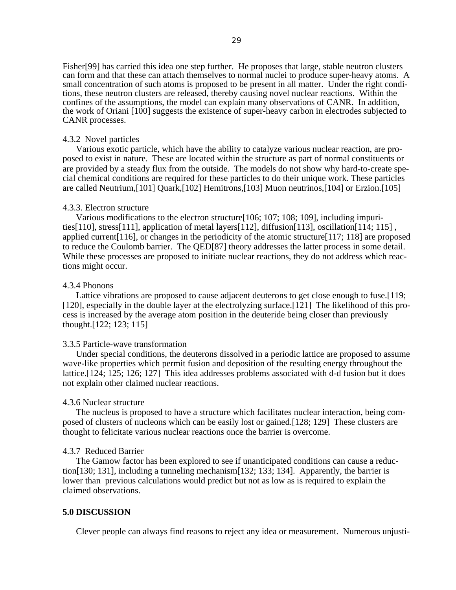Fisher[99] has carried this idea one step further. He proposes that large, stable neutron clusters can form and that these can attach themselves to normal nuclei to produce super-heavy atoms. A small concentration of such atoms is proposed to be present in all matter. Under the right conditions, these neutron clusters are released, thereby causing novel nuclear reactions. Within the confines of the assumptions, the model can explain many observations of CANR. In addition, the work of Oriani [100] suggests the existence of super-heavy carbon in electrodes subjected to CANR processes.

#### 4.3.2 Novel particles

Various exotic particle, which have the ability to catalyze various nuclear reaction, are proposed to exist in nature. These are located within the structure as part of normal constituents or are provided by a steady flux from the outside. The models do not show why hard-to-create special chemical conditions are required for these particles to do their unique work. These particles are called Neutrium,[101] Quark,[102] Hemitrons,[103] Muon neutrinos,[104] or Erzion.[105]

#### 4.3.3. Electron structure

Various modifications to the electron structure[106; 107; 108; 109], including impurities[110], stress[111], application of metal layers[112], diffusion[113], oscillation[114; 115] , applied current[116], or changes in the periodicity of the atomic structure[117; 118] are proposed to reduce the Coulomb barrier. The QED[87] theory addresses the latter process in some detail. While these processes are proposed to initiate nuclear reactions, they do not address which reactions might occur.

#### 4.3.4 Phonons

Lattice vibrations are proposed to cause adjacent deuterons to get close enough to fuse.[119; [120], especially in the double layer at the electrolyzing surface.[121] The likelihood of this process is increased by the average atom position in the deuteride being closer than previously thought.[122; 123; 115]

### 3.3.5 Particle-wave transformation

Under special conditions, the deuterons dissolved in a periodic lattice are proposed to assume wave-like properties which permit fusion and deposition of the resulting energy throughout the lattice.[124; 125; 126; 127] This idea addresses problems associated with d-d fusion but it does not explain other claimed nuclear reactions.

#### 4.3.6 Nuclear structure

The nucleus is proposed to have a structure which facilitates nuclear interaction, being composed of clusters of nucleons which can be easily lost or gained.[128; 129] These clusters are thought to felicitate various nuclear reactions once the barrier is overcome.

#### 4.3.7 Reduced Barrier

The Gamow factor has been explored to see if unanticipated conditions can cause a reduction[130; 131], including a tunneling mechanism[132; 133; 134]. Apparently, the barrier is lower than previous calculations would predict but not as low as is required to explain the claimed observations.

# **5.0 DISCUSSION**

Clever people can always find reasons to reject any idea or measurement. Numerous unjusti-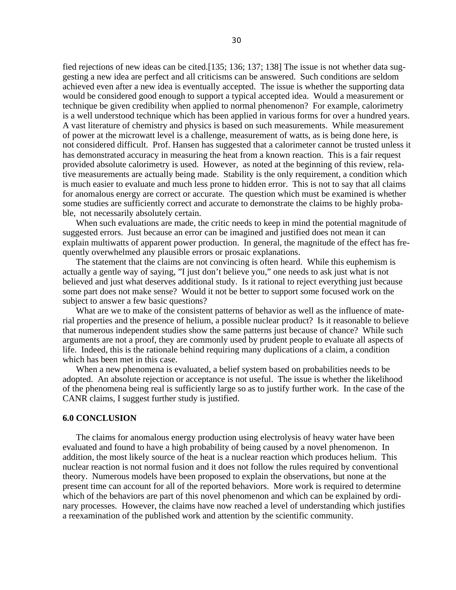fied rejections of new ideas can be cited.[135; 136; 137; 138] The issue is not whether data suggesting a new idea are perfect and all criticisms can be answered. Such conditions are seldom achieved even after a new idea is eventually accepted. The issue is whether the supporting data would be considered good enough to support a typical accepted idea. Would a measurement or technique be given credibility when applied to normal phenomenon? For example, calorimetry is a well understood technique which has been applied in various forms for over a hundred years. A vast literature of chemistry and physics is based on such measurements. While measurement of power at the microwatt level is a challenge, measurement of watts, as is being done here, is not considered difficult. Prof. Hansen has suggested that a calorimeter cannot be trusted unless it has demonstrated accuracy in measuring the heat from a known reaction. This is a fair request provided absolute calorimetry is used. However, as noted at the beginning of this review, relative measurements are actually being made. Stability is the only requirement, a condition which is much easier to evaluate and much less prone to hidden error. This is not to say that all claims for anomalous energy are correct or accurate. The question which must be examined is whether some studies are sufficiently correct and accurate to demonstrate the claims to be highly probable, not necessarily absolutely certain.

When such evaluations are made, the critic needs to keep in mind the potential magnitude of suggested errors. Just because an error can be imagined and justified does not mean it can explain multiwatts of apparent power production. In general, the magnitude of the effect has frequently overwhelmed any plausible errors or prosaic explanations.

The statement that the claims are not convincing is often heard. While this euphemism is actually a gentle way of saying, "I just don't believe you," one needs to ask just what is not believed and just what deserves additional study. Is it rational to reject everything just because some part does not make sense? Would it not be better to support some focused work on the subject to answer a few basic questions?

What are we to make of the consistent patterns of behavior as well as the influence of material properties and the presence of helium, a possible nuclear product? Is it reasonable to believe that numerous independent studies show the same patterns just because of chance? While such arguments are not a proof, they are commonly used by prudent people to evaluate all aspects of life. Indeed, this is the rationale behind requiring many duplications of a claim, a condition which has been met in this case.

When a new phenomena is evaluated, a belief system based on probabilities needs to be adopted. An absolute rejection or acceptance is not useful. The issue is whether the likelihood of the phenomena being real is sufficiently large so as to justify further work. In the case of the CANR claims, I suggest further study is justified.

# **6.0 CONCLUSION**

The claims for anomalous energy production using electrolysis of heavy water have been evaluated and found to have a high probability of being caused by a novel phenomenon. In addition, the most likely source of the heat is a nuclear reaction which produces helium. This nuclear reaction is not normal fusion and it does not follow the rules required by conventional theory. Numerous models have been proposed to explain the observations, but none at the present time can account for all of the reported behaviors. More work is required to determine which of the behaviors are part of this novel phenomenon and which can be explained by ordinary processes. However, the claims have now reached a level of understanding which justifies a reexamination of the published work and attention by the scientific community.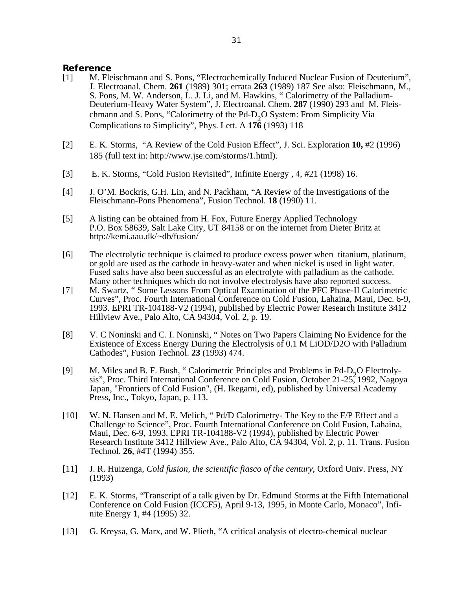# **Reference**

- [1] M. Fleischmann and S. Pons, "Electrochemically Induced Nuclear Fusion of Deuterium", J. Electroanal. Chem. **261** (1989) 301; errata **263** (1989) 187 See also: Fleischmann, M., S. Pons, M. W. Anderson, L. J. Li, and M. Hawkins, " Calorimetry of the Palladium-Deuterium-Heavy Water System", J. Electroanal. Chem. **287** (1990) 293 and M. Fleischmann and S. Pons, "Calorimetry of the Pd-D<sub>2</sub>O System: From Simplicity Via Complications to Simplicity", Phys. Lett. A **176** (1993) 118
- [2] E. K. Storms, "A Review of the Cold Fusion Effect", J. Sci. Exploration **10,** #2 (1996) 185 (full text in: http://www.jse.com/storms/1.html).
- [3] E. K. Storms, "Cold Fusion Revisited", Infinite Energy , 4, #21 (1998) 16.
- [4] J. O'M. Bockris, G.H. Lin, and N. Packham, "A Review of the Investigations of the Fleischmann-Pons Phenomena", Fusion Technol. **18** (1990) 11.
- [5] A listing can be obtained from H. Fox, Future Energy Applied Technology P.O. Box 58639, Salt Lake City, UT 84158 or on the internet from Dieter Britz at http://kemi.aau.dk/~db/fusion/
- [6] The electrolytic technique is claimed to produce excess power when titanium, platinum, or gold are used as the cathode in heavy-water and when nickel is used in light water. Fused salts have also been successful as an electrolyte with palladium as the cathode. Many other techniques which do not involve electrolysis have also reported success.
- [7] M. Swartz, " Some Lessons From Optical Examination of the PFC Phase-II Calorimetric Curves", Proc. Fourth International Conference on Cold Fusion, Lahaina, Maui, Dec. 6-9, 1993. EPRI TR-104188-V2 (1994), published by Electric Power Research Institute 3412 Hillview Ave., Palo Alto, CA 94304, Vol. 2, p. 19.
- [8] V. C Noninski and C. I. Noninski, " Notes on Two Papers Claiming No Evidence for the Existence of Excess Energy During the Electrolysis of 0.1 M LiOD/D2O with Palladium Cathodes", Fusion Technol. **23** (1993) 474.
- [9] M. Miles and B. F. Bush, "Calorimetric Principles and Problems in Pd-D<sub>2</sub>O Electroly-<br>
size: Press, Third International Conference on Cald Eusien, Ostaber 21, 25<sup>2</sup>1002, Nagari sis", Proc. Third International Conference on Cold Fusion, October 21-25, 1992, Nagoya Japan, "Frontiers of Cold Fusion", (H. Ikegami, ed), published by Universal Academy Press, Inc., Tokyo, Japan, p. 113.
- [10] W. N. Hansen and M. E. Melich, " Pd/D Calorimetry- The Key to the F/P Effect and a Challenge to Science", Proc. Fourth International Conference on Cold Fusion, Lahaina, Maui, Dec. 6-9, 1993. EPRI TR-104188-V2 (1994), published by Electric Power Research Institute 3412 Hillview Ave., Palo Alto, CA 94304, Vol. 2, p. 11. Trans. Fusion Technol. **26**, #4T (1994) 355.
- [11] J. R. Huizenga, *Cold fusion, the scientific fiasco of the century*, Oxford Univ. Press, NY (1993)
- [12] E. K. Storms, "Transcript of a talk given by Dr. Edmund Storms at the Fifth International Conference on Cold Fusion (ICCF5), April 9-13, 1995, in Monte Carlo, Monaco", Infinite Energy **1**, #4 (1995) 32.
- [13] G. Kreysa, G. Marx, and W. Plieth, "A critical analysis of electro-chemical nuclear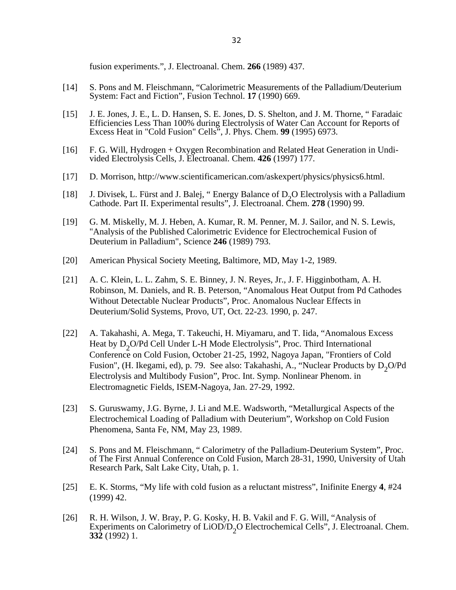fusion experiments.", J. Electroanal. Chem. **266** (1989) 437.

- [14] S. Pons and M. Fleischmann, "Calorimetric Measurements of the Palladium/Deuterium System: Fact and Fiction", Fusion Technol. **17** (1990) 669.
- [15] J. E. Jones, J. E., L. D. Hansen, S. E. Jones, D. S. Shelton, and J. M. Thorne, "Faradaic Efficiencies Less Than 100% during Electrolysis of Water Can Account for Reports of Excess Heat in "Cold Fusion" Cells", J. Phys. Chem. **99** (1995) 6973.
- [16] F. G. Will, Hydrogen + Oxygen Recombination and Related Heat Generation in Undivided Electrolysis Cells, J. Electroanal. Chem. **426** (1997) 177.
- [17] D. Morrison, http://www.scientificamerican.com/askexpert/physics/physics6.html.
- [18] J. Divisek, L. Fürst and J. Balej, "Energy Balance of  $D_2O$  Electrolysis with a Palladium Cathode. Part II. Experimental results", J. Electroanal. Chem. **278** (1990) 99.
- [19] G. M. Miskelly, M. J. Heben, A. Kumar, R. M. Penner, M. J. Sailor, and N. S. Lewis, "Analysis of the Published Calorimetric Evidence for Electrochemical Fusion of Deuterium in Palladium", Science **246** (1989) 793.
- [20] American Physical Society Meeting, Baltimore, MD, May 1-2, 1989.
- [21] A. C. Klein, L. L. Zahm, S. E. Binney, J. N. Reyes, Jr., J. F. Higginbotham, A. H. Robinson, M. Daniels, and R. B. Peterson, "Anomalous Heat Output from Pd Cathodes Without Detectable Nuclear Products", Proc. Anomalous Nuclear Effects in Deuterium/Solid Systems, Provo, UT, Oct. 22-23. 1990, p. 247.
- [22] A. Takahashi, A. Mega, T. Takeuchi, H. Miyamaru, and T. Iida, "Anomalous Excess Heat by  $D_2O/Pd$  Cell Under L-H Mode Electrolysis", Proc. Third International Conference on Cold Fusion, October 21-25, 1992, Nagoya Japan, "Frontiers of Cold Fusion", (H. Ikegami, ed), p. 79. See also: Takahashi, A., "Nuclear Products by  $D_2O/Pd$ Electrolysis and Multibody Fusion", Proc. Int. Symp. Nonlinear Phenom. in Electromagnetic Fields, ISEM-Nagoya, Jan. 27-29, 1992.
- [23] S. Guruswamy, J.G. Byrne, J. Li and M.E. Wadsworth, "Metallurgical Aspects of the Electrochemical Loading of Palladium with Deuterium", Workshop on Cold Fusion Phenomena, Santa Fe, NM, May 23, 1989.
- [24] S. Pons and M. Fleischmann, "Calorimetry of the Palladium-Deuterium System", Proc. of The First Annual Conference on Cold Fusion, March 28-31, 1990, University of Utah Research Park, Salt Lake City, Utah, p. 1.
- [25] E. K. Storms, "My life with cold fusion as a reluctant mistress", Inifinite Energy **4**, #24 (1999) 42.
- [26] R. H. Wilson, J. W. Bray, P. G. Kosky, H. B. Vakil and F. G. Will, "Analysis of Experiments on Calorimetry of  $LiOD/D<sub>2</sub>O$  Electrochemical Cells", J. Electroanal. Chem. **332** (1992) 1.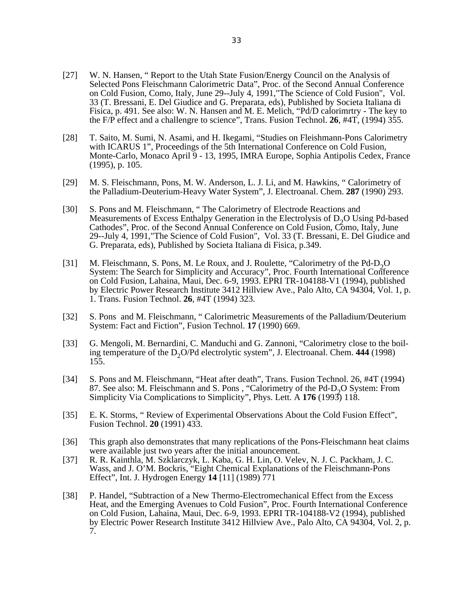- [27] W. N. Hansen, "Report to the Utah State Fusion/Energy Council on the Analysis of Selected Pons Fleischmann Calorimetric Data", Proc. of the Second Annual Conference on Cold Fusion, Como, Italy, June 29--July 4, 1991,"The Science of Cold Fusion", Vol. 33 (T. Bressani, E. Del Giudice and G. Preparata, eds), Published by Societa Italiana di Fisica, p. 491. See also: W. N. Hansen and M. E. Melich, "Pd/D calorimrtry - The key to the F/P effect and a challengre to science", Trans. Fusion Technol. **26**, #4T, (1994) 355.
- [28] T. Saito, M. Sumi, N. Asami, and H. Ikegami, "Studies on Fleishmann-Pons Calorimetry with ICARUS 1", Proceedings of the 5th International Conference on Cold Fusion, Monte-Carlo, Monaco April 9 - 13, 1995, IMRA Europe, Sophia Antipolis Cedex, France (1995), p. 105.
- [29] M. S. Fleischmann, Pons, M. W. Anderson, L. J. Li, and M. Hawkins, " Calorimetry of the Palladium-Deuterium-Heavy Water System", J. Electroanal. Chem. **287** (1990) 293.
- [30] S. Pons and M. Fleischmann, "The Calorimetry of Electrode Reactions and Measurements of Excess Enthalpy Generation in the Electrolysis of  $D_2O$  Using Pd-based<br>Cathodae'', Press, of the Sassard Annual Generation of Oald Eurism Came, Italy, Iyus, Cathodes", Proc. of the Second Annual Conference on Cold Fusion, Como, Italy, June 29--July 4, 1991,"The Science of Cold Fusion", Vol. 33 (T. Bressani, E. Del Giudice and G. Preparata, eds), Published by Societa Italiana di Fisica, p.349.
- [31] M. Fleischmann, S. Pons, M. Le Roux, and J. Roulette, "Calorimetry of the Pd-D<sub>2</sub>O".<br>Systems The Secret for Simplicity and Agousess". Press Fourth International Carrier System: The Search for Simplicity and Accuracy", Proc. Fourth International Conference on Cold Fusion, Lahaina, Maui, Dec. 6-9, 1993. EPRI TR-104188-V1 (1994), published by Electric Power Research Institute 3412 Hillview Ave., Palo Alto, CA 94304, Vol. 1, p. 1. Trans. Fusion Technol. **26**, #4T (1994) 323.
- [32] S. Pons and M. Fleischmann, " Calorimetric Measurements of the Palladium/Deuterium System: Fact and Fiction", Fusion Technol. **17** (1990) 669.
- [33] G. Mengoli, M. Bernardini, C. Manduchi and G. Zannoni, "Calorimetry close to the boiling temperature of the D<sub>2</sub>O/Pd electrolytic system", J. Electroanal. Chem. 444 (1998) 155.
- [34] S. Pons and M. Fleischmann, "Heat after death", Trans. Fusion Technol. 26, #4T (1994) 87. See also: M. Fleischmann and S. Pons, "Calorimetry of the Pd-D<sub>2</sub>O System: From<br>Simuliaity Via Conveligations to Simuliaity", Phys. Latt. A 176 (1007) 118 Simplicity Via Complications to Simplicity", Phys. Lett. A **176** (1993) 118.
- [35] E. K. Storms, " Review of Experimental Observations About the Cold Fusion Effect", Fusion Technol. **20** (1991) 433.
- [36] This graph also demonstrates that many replications of the Pons-Fleischmann heat claims were available just two years after the initial anouncement.
- [37] R. R. Kainthla, M. Szklarczyk, L. Kaba, G. H. Lin, O. Velev, N. J. C. Packham, J. C. Wass, and J. O'M. Bockris, "Eight Chemical Explanations of the Fleischmann-Pons Effect", Int. J. Hydrogen Energy **14** [11] (1989) 771
- [38] P. Handel, "Subtraction of a New Thermo-Electromechanical Effect from the Excess Heat, and the Emerging Avenues to Cold Fusion", Proc. Fourth International Conference on Cold Fusion, Lahaina, Maui, Dec. 6-9, 1993. EPRI TR-104188-V2 (1994), published by Electric Power Research Institute 3412 Hillview Ave., Palo Alto, CA 94304, Vol. 2, p. 7.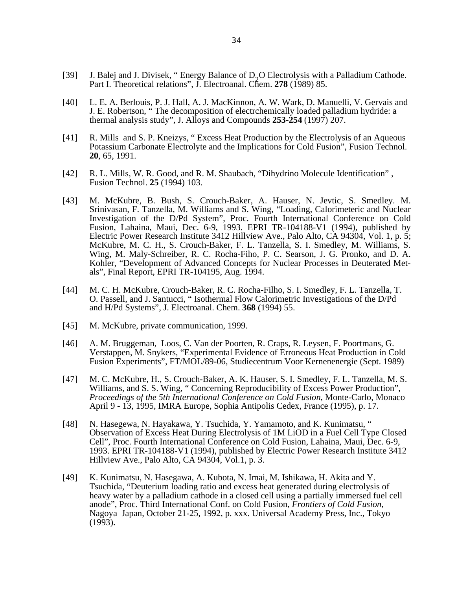- [39] J. Balej and J. Divisek, "Energy Balance of D<sub>2</sub>O Electrolysis with a Palladium Cathode. Part I. Theoretical relations", J. Electroanal. Chem. 278 (1989) 85.
- [40] L. E. A. Berlouis, P. J. Hall, A. J. MacKinnon, A. W. Wark, D. Manuelli, V. Gervais and J. E. Robertson, " The decomposition of electrchemically loaded palladium hydride: a thermal analysis study", J. Alloys and Compounds **253-254** (1997) 207.
- [41] R. Mills and S. P. Kneizys, " Excess Heat Production by the Electrolysis of an Aqueous Potassium Carbonate Electrolyte and the Implications for Cold Fusion", Fusion Technol. **20**, 65, 1991.
- [42] R. L. Mills, W. R. Good, and R. M. Shaubach, "Dihydrino Molecule Identification" , Fusion Technol. **25** (1994) 103.
- [43] M. McKubre, B. Bush, S. Crouch-Baker, A. Hauser, N. Jevtic, S. Smedley. M. Srinivasan, F. Tanzella, M. Williams and S. Wing, "Loading, Calorimeteric and Nuclear Investigation of the D/Pd System", Proc. Fourth International Conference on Cold Fusion, Lahaina, Maui, Dec. 6-9, 1993. EPRI TR-104188-V1 (1994), published by Electric Power Research Institute 3412 Hillview Ave., Palo Alto, CA 94304, Vol. 1, p. 5; McKubre, M. C. H., S. Crouch-Baker, F. L. Tanzella, S. I. Smedley, M. Williams, S. Wing, M. Maly-Schreiber, R. C. Rocha-Fiho, P. C. Searson, J. G. Pronko, and D. A. Kohler, "Development of Advanced Concepts for Nuclear Processes in Deuterated Metals", Final Report, EPRI TR-104195, Aug. 1994.
- [44] M. C. H. McKubre, Crouch-Baker, R. C. Rocha-Filho, S. I. Smedley, F. L. Tanzella, T. O. Passell, and J. Santucci, " Isothermal Flow Calorimetric Investigations of the D/Pd and H/Pd Systems", J. Electroanal. Chem. **368** (1994) 55.
- [45] M. McKubre, private communication, 1999.
- [46] A. M. Bruggeman, Loos, C. Van der Poorten, R. Craps, R. Leysen, F. Poortmans, G. Verstappen, M. Snykers, "Experimental Evidence of Erroneous Heat Production in Cold Fusion Experiments", FT/MOL/89-06, Studiecentrum Voor Kernenenergie (Sept. 1989)
- [47] M. C. McKubre, H., S. Crouch-Baker, A. K. Hauser, S. I. Smedley, F. L. Tanzella, M. S. Williams, and S. S. Wing, " Concerning Reproducibility of Excess Power Production", *Proceedings of the 5th International Conference on Cold Fusion*, Monte-Carlo, Monaco April 9 - 13, 1995, IMRA Europe, Sophia Antipolis Cedex, France (1995), p. 17.
- [48] N. Hasegewa, N. Hayakawa, Y. Tsuchida, Y. Yamamoto, and K. Kunimatsu, " Observation of Excess Heat During Electrolysis of 1M LiOD in a Fuel Cell Type Closed Cell", Proc. Fourth International Conference on Cold Fusion, Lahaina, Maui, Dec. 6-9, 1993. EPRI TR-104188-V1 (1994), published by Electric Power Research Institute 3412 Hillview Ave., Palo Alto, CA 94304, Vol.1, p. 3.
- [49] K. Kunimatsu, N. Hasegawa, A. Kubota, N. Imai, M. Ishikawa, H. Akita and Y. Tsuchida, "Deuterium loading ratio and excess heat generated during electrolysis of heavy water by a palladium cathode in a closed cell using a partially immersed fuel cell anode", Proc. Third International Conf. on Cold Fusion*, Frontiers of Cold Fusion,* Nagoya Japan, October 21-25, 1992, p. xxx. Universal Academy Press, Inc., Tokyo  $(1993)$ .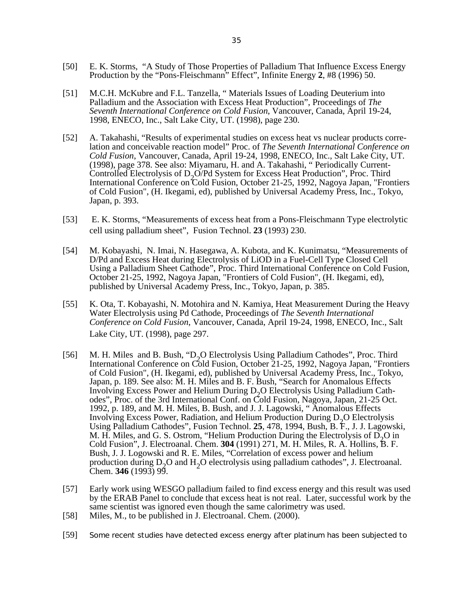- [50] E. K. Storms, "A Study of Those Properties of Palladium That Influence Excess Energy Production by the "Pons-Fleischmann" Effect", Infinite Energy **2**, #8 (1996) 50.
- [51] M.C.H. McKubre and F.L. Tanzella, " Materials Issues of Loading Deuterium into Palladium and the Association with Excess Heat Production", Proceedings of *The Seventh International Conference on Cold Fusion*, Vancouver, Canada, April 19-24, 1998, ENECO, Inc., Salt Lake City, UT. (1998), page 230.
- [52] A. Takahashi, "Results of experimental studies on excess heat vs nuclear products correlation and conceivable reaction model" Proc. of *The Seventh International Conference on Cold Fusion*, Vancouver, Canada, April 19-24, 1998, ENECO, Inc., Salt Lake City, UT. (1998), page 378. See also: Miyamaru, H. and A. Takahashi, " Periodically Current-Controlled Electrolysis of D<sub>2</sub>O/Pd System for Excess Heat Production", Proc. Third<br>International Conference on Told Eurien, Ostaber 21, 25, 1002, Nagary Janan, "Eng International Conference on Cold Fusion, October 21-25, 1992, Nagoya Japan, "Frontiers of Cold Fusion", (H. Ikegami, ed), published by Universal Academy Press, Inc., Tokyo, Japan, p. 393.
- [53] E. K. Storms, "Measurements of excess heat from a Pons-Fleischmann Type electrolytic cell using palladium sheet", Fusion Technol. **23** (1993) 230.
- [54] M. Kobayashi, N. Imai, N. Hasegawa, A. Kubota, and K. Kunimatsu, "Measurements of D/Pd and Excess Heat during Electrolysis of LiOD in a Fuel-Cell Type Closed Cell Using a Palladium Sheet Cathode", Proc. Third International Conference on Cold Fusion, October 21-25, 1992, Nagoya Japan, "Frontiers of Cold Fusion", (H. Ikegami, ed), published by Universal Academy Press, Inc., Tokyo, Japan, p. 385.
- [55] K. Ota, T. Kobayashi, N. Motohira and N. Kamiya, Heat Measurement During the Heavy Water Electrolysis using Pd Cathode, Proceedings of *The Seventh International Conference on Cold Fusion*, Vancouver, Canada, April 19-24, 1998, ENECO, Inc., Salt Lake City, UT. (1998), page 297.
- [56] M. H. Miles and B. Bush, "D<sub>2</sub>O Electrolysis Using Palladium Cathodes", Proc. Third<br>Literational Canformace of Cald Fraise, Ottober 21.25, 1999, Nassau January "Franti International Conference on Cold Fusion, October 21-25, 1992, Nagoya Japan, "Frontiers of Cold Fusion", (H. Ikegami, ed), published by Universal Academy Press, Inc., Tokyo, Japan, p. 189. See also: M. H. Miles and B. F. Bush, "Search for Anomalous Effects Involving Excess Power and Helium During D<sub>2</sub>O Electrolysis Using Palladium Cathodes", Proc. of the 3rd International Conf. on Cold Fusion, Nagoya, Japan, 21-25 Oct. 1992, p. 189, and M. H. Miles, B. Bush, and J. J. Lagowski, " Anomalous Effects Involving Excess Power, Radiation, and Helium Production During  $D_2O$  Electrolysis Using Palladium Cathodes", Fusion Technol. **25**, 478, 1994, Bush, B. F., J. J. Lagowski, M. H. Miles, and G. S. Ostrom, "Helium Production During the Electrolysis of  $\overline{D}_2$ O in Cold Fusion", J. Electroanal. Chem. **304** (1991) 271, M. H. Miles, R. A. Hollins, B. F. Bush, J. J. Logowski and R. E. Miles, "Correlation of excess power and helium production during  $D_2O$  and  $H_2O$  electrolysis using palladium cathodes", J. Electroanal. Chem. **346** (1993) 99.
- [57] Early work using WESGO palladium failed to find excess energy and this result was used by the ERAB Panel to conclude that excess heat is not real. Later, successful work by the same scientist was ignored even though the same calorimetry was used.
- [58] Miles, M., to be published in J. Electroanal. Chem. (2000).
- [59] Some recent studies have detected excess energy after platinum has been subjected to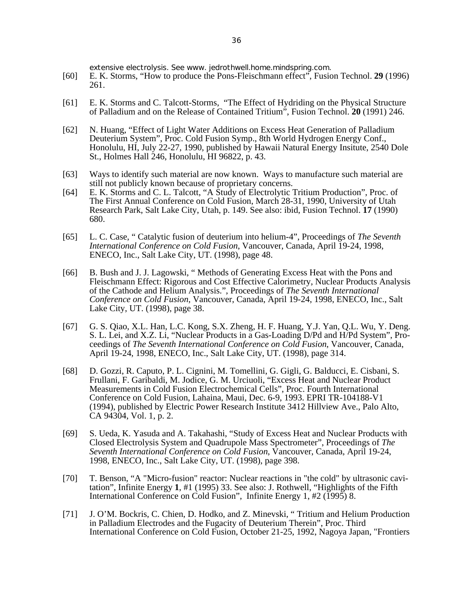extensive electrolysis. See www. jedrothwell.home.mindspring.com.

- [60] E. K. Storms, "How to produce the Pons-Fleischmann effect", Fusion Technol. **29** (1996) 261.
- [61] E. K. Storms and C. Talcott-Storms, "The Effect of Hydriding on the Physical Structure of Palladium and on the Release of Contained Tritium", Fusion Technol. **20** (1991) 246.
- [62] N. Huang, "Effect of Light Water Additions on Excess Heat Generation of Palladium Deuterium System", Proc. Cold Fusion Symp., 8th World Hydrogen Energy Conf., Honolulu, HI, July 22-27, 1990, published by Hawaii Natural Energy Insitute, 2540 Dole St., Holmes Hall 246, Honolulu, HI 96822, p. 43.
- [63] Ways to identify such material are now known. Ways to manufacture such material are still not publicly known because of proprietary concerns.
- [64] E. K. Storms and C. L. Talcott, "A Study of Electrolytic Tritium Production", Proc. of The First Annual Conference on Cold Fusion, March 28-31, 1990, University of Utah Research Park, Salt Lake City, Utah, p. 149. See also: ibid, Fusion Technol. **17** (1990) 680.
- [65] L. C. Case, " Catalytic fusion of deuterium into helium-4", Proceedings of *The Seventh International Conference on Cold Fusion*, Vancouver, Canada, April 19-24, 1998, ENECO, Inc., Salt Lake City, UT. (1998), page 48.
- [66] B. Bush and J. J. Lagowski, "Methods of Generating Excess Heat with the Pons and Fleischmann Effect: Rigorous and Cost Effective Calorimetry, Nuclear Products Analysis of the Cathode and Helium Analysis.", Proceedings of *The Seventh International Conference on Cold Fusion*, Vancouver, Canada, April 19-24, 1998, ENECO, Inc., Salt Lake City, UT. (1998), page 38.
- [67] G. S. Qiao, X.L. Han, L.C. Kong, S.X. Zheng, H. F. Huang, Y.J. Yan, Q.L. Wu, Y. Deng. S. L. Lei, and X.Z. Li, "Nuclear Products in a Gas-Loading D/Pd and H/Pd System", Proceedings of *The Seventh International Conference on Cold Fusion*, Vancouver, Canada, April 19-24, 1998, ENECO, Inc., Salt Lake City, UT. (1998), page 314.
- [68] D. Gozzi, R. Caputo, P. L. Cignini, M. Tomellini, G. Gigli, G. Balducci, E. Cisbani, S. Frullani, F. Garibaldi, M. Jodice, G. M. Urciuoli, "Excess Heat and Nuclear Product Measurements in Cold Fusion Electrochemical Cells", Proc. Fourth International Conference on Cold Fusion, Lahaina, Maui, Dec. 6-9, 1993. EPRI TR-104188-V1 (1994), published by Electric Power Research Institute 3412 Hillview Ave., Palo Alto, CA 94304, Vol. 1, p. 2.
- [69] S. Ueda, K. Yasuda and A. Takahashi, "Study of Excess Heat and Nuclear Products with Closed Electrolysis System and Quadrupole Mass Spectrometer", Proceedings of *The Seventh International Conference on Cold Fusion*, Vancouver, Canada, April 19-24, 1998, ENECO, Inc., Salt Lake City, UT. (1998), page 398.
- [70] T. Benson, "A "Micro-fusion" reactor: Nuclear reactions in "the cold" by ultrasonic cavitation", Infinite Energy **1**, #1 (1995) 33. See also: J. Rothwell, "Highlights of the Fifth International Conference on Cold Fusion", Infinite Energy 1, #2 (1995) 8.
- [71] J. O'M. Bockris, C. Chien, D. Hodko, and Z. Minevski, " Tritium and Helium Production in Palladium Electrodes and the Fugacity of Deuterium Therein", Proc. Third International Conference on Cold Fusion, October 21-25, 1992, Nagoya Japan, "Frontiers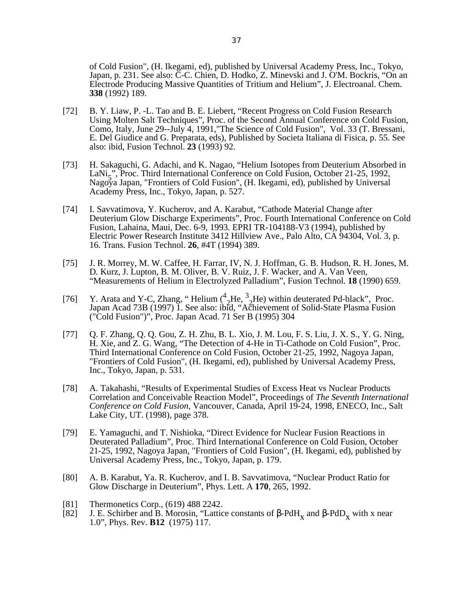of Cold Fusion", (H. Ikegami, ed), published by Universal Academy Press, Inc., Tokyo, Japan, p. 231. See also: C-C. Chien, D. Hodko, Z. Minevski and J. O'M. Bockris, "On an Electrode Producing Massive Quantities of Tritium and Helium", J. Electroanal. Chem. **338** (1992) 189.

- [72] B. Y. Liaw, P. -L. Tao and B. E. Liebert, "Recent Progress on Cold Fusion Research Using Molten Salt Techniques", Proc. of the Second Annual Conference on Cold Fusion, Como, Italy, June 29--July 4, 1991, "The Science of Cold Fusion", Vol. 33 (T. Bressani, E. Del Giudice and G. Preparata, eds), Published by Societa Italiana di Fisica, p. 55. See also: ibid, Fusion Technol. **23** (1993) 92.
- [73] H. Sakaguchi, G. Adachi, and K. Nagao, "Helium Isotopes from Deuterium Absorbed in LaNi<sub>5</sub>", Proc. Third International Conference on Cold Fusion, October 21-25, 1992, Nagoya Japan, "Frontiers of Cold Fusion", (H. Ikegami, ed), published by Universal Academy Press, Inc., Tokyo, Japan, p. 527.
- [74] I. Savvatimova, Y. Kucherov, and A. Karabut, "Cathode Material Change after Deuterium Glow Discharge Experiments", Proc. Fourth International Conference on Cold Fusion, Lahaina, Maui, Dec. 6-9, 1993. EPRI TR-104188-V3 (1994), published by Electric Power Research Institute 3412 Hillview Ave., Palo Alto, CA 94304, Vol. 3, p. 16. Trans. Fusion Technol. **26**, #4T (1994) 389.
- [75] J. R. Morrey, M. W. Caffee, H. Farrar, IV, N. J. Hoffman, G. B. Hudson, R. H. Jones, M. D. Kurz, J. Lupton, B. M. Oliver, B. V. Ruiz, J. F. Wacker, and A. Van Veen, "Measurements of Helium in Electrolyzed Palladium", Fusion Technol. **18** (1990) 659.
- [76] Y. Arata and Y-C, Zhang, "Helium  $\binom{4}{2}$ He,  $\frac{3}{2}$ He) within deuterated Pd-black", Proc. Japan Acad 73B (1997) 1. See also: ibid, "Achievement of Solid-State Plasma Fusion ("Cold Fusion")", Proc. Japan Acad. 71 Ser B (1995) 304
- [77] Q. F. Zhang, Q. Q. Gou, Z. H. Zhu, B. L. Xio, J. M. Lou, F. S. Liu, J. X. S., Y. G. Ning, H. Xie, and Z. G. Wang, "The Detection of 4-He in Ti-Cathode on Cold Fusion", Proc. Third International Conference on Cold Fusion, October 21-25, 1992, Nagoya Japan, "Frontiers of Cold Fusion", (H. Ikegami, ed), published by Universal Academy Press, Inc., Tokyo, Japan, p. 531.
- [78] A. Takahashi, "Results of Experimental Studies of Excess Heat vs Nuclear Products Correlation and Conceivable Reaction Model", Proceedings of *The Seventh International Conference on Cold Fusion*, Vancouver, Canada, April 19-24, 1998, ENECO, Inc., Salt Lake City, UT. (1998), page 378.
- [79] E. Yamaguchi, and T. Nishioka, "Direct Evidence for Nuclear Fusion Reactions in Deuterated Palladium", Proc. Third International Conference on Cold Fusion, October 21-25, 1992, Nagoya Japan, "Frontiers of Cold Fusion", (H. Ikegami, ed), published by Universal Academy Press, Inc., Tokyo, Japan, p. 179.
- [80] A. B. Karabut, Ya. R. Kucherov, and I. B. Savvatimova, "Nuclear Product Ratio for Glow Discharge in Deuterium", Phys. Lett. A **170**, 265, 1992.
- [81] Thermonetics Corp., (619) 488 2242.
- [82] J. E. Schirber and B. Morosin, "Lattice constants of  $-PdH<sub>x</sub>$  and  $-PdD<sub>x</sub>$  with x near  $1.0$ ". Phys. Pay  $R12$ ,  $(1075)$ ,  $117$ 1.0", Phys. Rev. **B12** (1975) 117.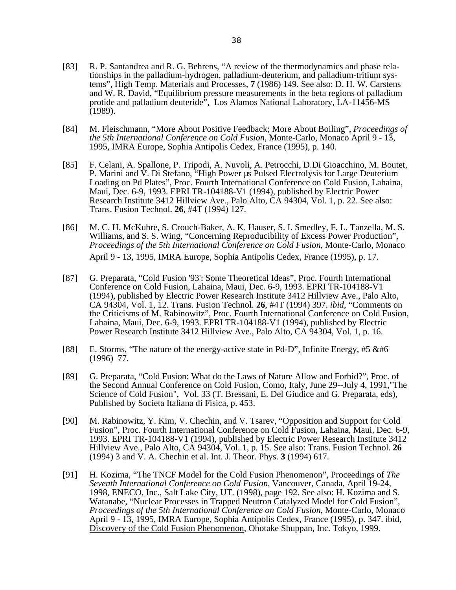- [83] R. P. Santandrea and R. G. Behrens, "A review of the thermodynamics and phase relationships in the palladium-hydrogen, palladium-deuterium, and palladium-tritium systems", High Temp. Materials and Processes, **7** (1986) 149. See also: D. H. W. Carstens and W. R. David, "Equilibrium pressure measurements in the beta regions of palladium protide and palladium deuteride<sup>7</sup>, Los Alamos National Laboratory, LA-11456-MS (1989).
- [84] M. Fleischmann, "More About Positive Feedback; More About Boiling", *Proceedings of the 5th International Conference on Cold Fusion*, Monte-Carlo, Monaco April 9 - 13, 1995, IMRA Europe, Sophia Antipolis Cedex, France (1995), p. 140.
- [85] F. Celani, A. Spallone, P. Tripodi, A. Nuvoli, A. Petrocchi, D.Di Gioacchino, M. Boutet, P. Marini and  $\dot{V}$ . Di Stefano, "High Power us Pulsed Electrolysis for Large Deuterium Loading on Pd Plates", Proc. Fourth International Conference on Cold Fusion, Lahaina, Maui, Dec. 6-9, 1993. EPRI TR-104188-V1 (1994), published by Electric Power Research Institute 3412 Hillview Ave., Palo Alto, CA 94304, Vol. 1, p. 22. See also: Trans. Fusion Technol. **26**, #4T (1994) 127.
- [86] M. C. H. McKubre, S. Crouch-Baker, A. K. Hauser, S. I. Smedley, F. L. Tanzella, M. S. Williams, and S. S. Wing, "Concerning Reproducibility of Excess Power Production", *Proceedings of the 5th International Conference on Cold Fusion*, Monte-Carlo, Monaco April 9 - 13, 1995, IMRA Europe, Sophia Antipolis Cedex, France (1995), p. 17.
- [87] G. Preparata, "Cold Fusion '93': Some Theoretical Ideas", Proc. Fourth International Conference on Cold Fusion, Lahaina, Maui, Dec. 6-9, 1993. EPRI TR-104188-V1 (1994), published by Electric Power Research Institute 3412 Hillview Ave., Palo Alto, CA 94304, Vol. 1, 12. Trans. Fusion Technol. **26**, #4T (1994) 397. *ibid*, "Comments on the Criticisms of M. Rabinowitz", Proc. Fourth International Conference on Cold Fusion, Lahaina, Maui, Dec. 6-9, 1993. EPRI TR-104188-V1 (1994), published by Electric Power Research Institute 3412 Hillview Ave., Palo Alto, CA 94304, Vol. 1, p. 16.
- [88] E. Storms, "The nature of the energy-active state in Pd-D", Infinite Energy, #5 &#6 (1996) 77.
- [89] G. Preparata, "Cold Fusion: What do the Laws of Nature Allow and Forbid?", Proc. of the Second Annual Conference on Cold Fusion, Como, Italy, June 29--July 4, 1991,"The Science of Cold Fusion", Vol. 33 (T. Bressani, E. Del Giudice and G. Preparata, eds), Published by Societa Italiana di Fisica, p. 453.
- [90] M. Rabinowitz, Y. Kim, V. Chechin, and V. Tsarev, "Opposition and Support for Cold Fusion", Proc. Fourth International Conference on Cold Fusion, Lahaina, Maui, Dec. 6-9, 1993. EPRI TR-104188-V1 (1994), published by Electric Power Research Institute 3412 Hillview Ave., Palo Alto, CA 94304, Vol. 1, p. 15. See also: Trans. Fusion Technol. **26** (1994) 3 and V. A. Chechin et al. Int. J. Theor. Phys. **3** (1994) 617.
- [91] H. Kozima, "The TNCF Model for the Cold Fusion Phenomenon", Proceedings of *The Seventh International Conference on Cold Fusion*, Vancouver, Canada, April 19-24, 1998, ENECO, Inc., Salt Lake City, UT. (1998), page 192. See also: H. Kozima and S. Watanabe, "Nuclear Processes in Trapped Neutron Catalyzed Model for Cold Fusion", *Proceedings of the 5th International Conference on Cold Fusion*, Monte-Carlo, Monaco April 9 - 13, 1995, IMRA Europe, Sophia Antipolis Cedex, France (1995), p. 347. ibid, Discovery of the Cold Fusion Phenomenon, Ohotake Shuppan, Inc. Tokyo, 1999.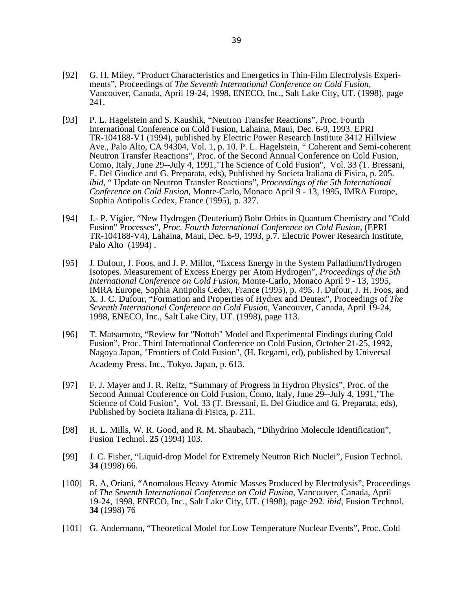- [92] G. H. Miley, "Product Characteristics and Energetics in Thin-Film Electrolysis Experiments", Proceedings of *The Seventh International Conference on Cold Fusion*, Vancouver, Canada, April 19-24, 1998, ENECO, Inc., Salt Lake City, UT. (1998), page 241.
- [93] P. L. Hagelstein and S. Kaushik, "Neutron Transfer Reactions", Proc. Fourth International Conference on Cold Fusion, Lahaina, Maui, Dec. 6-9, 1993. EPRI TR-104188-V1 (1994), published by Electric Power Research Institute 3412 Hillview Ave., Palo Alto, CA 94304, Vol. 1, p. 10. P. L. Hagelstein, " Coherent and Semi-coherent Neutron Transfer Reactions", Proc. of the Second Annual Conference on Cold Fusion, Como, Italy, June 29--July 4, 1991,"The Science of Cold Fusion", Vol. 33 (T. Bressani, E. Del Giudice and G. Preparata, eds), Published by Societa Italiana di Fisica, p. 205. *ibid*, " Update on Neutron Transfer Reactions", *Proceedings of the 5th International Conference on Cold Fusion*, Monte-Carlo, Monaco April 9 - 13, 1995, IMRA Europe, Sophia Antipolis Cedex, France (1995), p. 327.
- [94] J.- P. Vigier, "New Hydrogen (Deuterium) Bohr Orbits in Quantum Chemistry and "Cold Fusion" Processes", *Proc. Fourth International Conference on Cold Fusion*, (EPRI TR-104188-V4), Lahaina, Maui, Dec. 6-9, 1993, p.7. Electric Power Research Institute, Palo Alto (1994) .
- [95] J. Dufour, J. Foos, and J. P. Millot, "Excess Energy in the System Palladium/Hydrogen Isotopes. Measurement of Excess Energy per Atom Hydrogen", *Proceedings of the 5th International Conference on Cold Fusion*, Monte-Carlo, Monaco April 9 - 13, 1995, IMRA Europe, Sophia Antipolis Cedex, France (1995), p. 495. J. Dufour, J. H. Foos, and X. J. C. Dufour, "Formation and Properties of Hydrex and Deutex", Proceedings of *The Seventh International Conference on Cold Fusion*, Vancouver, Canada, April 19-24, 1998, ENECO, Inc., Salt Lake City, UT. (1998), page 113.
- [96] T. Matsumoto, "Review for "Nottoh" Model and Experimental Findings during Cold Fusion", Proc. Third International Conference on Cold Fusion, October 21-25, 1992, Nagoya Japan, "Frontiers of Cold Fusion", (H. Ikegami, ed), published by Universal Academy Press, Inc., Tokyo, Japan, p. 613.
- [97] F. J. Mayer and J. R. Reitz, "Summary of Progress in Hydron Physics", Proc. of the Second Annual Conference on Cold Fusion, Como, Italy, June 29--July 4, 1991,"The Science of Cold Fusion", Vol. 33 (T. Bressani, E. Del Giudice and G. Preparata, eds), Published by Societa Italiana di Fisica, p. 211.
- [98] R. L. Mills, W. R. Good, and R. M. Shaubach, "Dihydrino Molecule Identification", Fusion Technol. **25** (1994) 103.
- [99] J. C. Fisher, "Liquid-drop Model for Extremely Neutron Rich Nuclei", Fusion Technol. **34** (1998) 66.
- [100] R. A, Oriani, "Anomalous Heavy Atomic Masses Produced by Electrolysis", Proceedings of *The Seventh International Conference on Cold Fusion*, Vancouver, Canada, April 19-24, 1998, ENECO, Inc., Salt Lake City, UT. (1998), page 292. *ibid*, Fusion Technol. **34** (1998) 76
- [101] G. Andermann, "Theoretical Model for Low Temperature Nuclear Events", Proc. Cold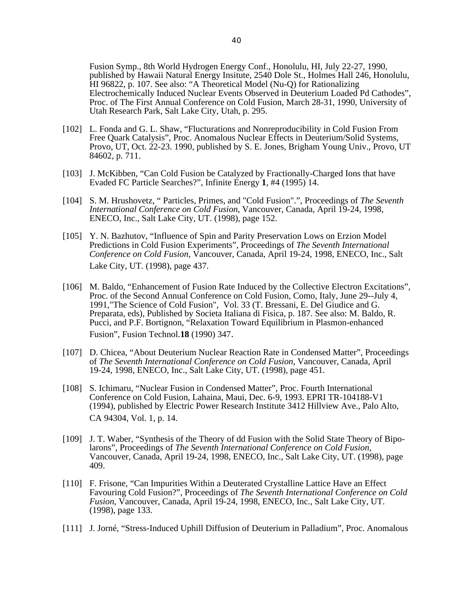Fusion Symp., 8th World Hydrogen Energy Conf., Honolulu, HI, July 22-27, 1990, published by Hawaii Natural Energy Insitute, 2540 Dole St., Holmes Hall 246, Honolulu, HI 96822, p. 107. See also: "A Theoretical Model (Nu-Q) for Rationalizing Electrochemically Induced Nuclear Events Observed in Deuterium Loaded Pd Cathodes", Proc. of The First Annual Conference on Cold Fusion, March 28-31, 1990, University of Utah Research Park, Salt Lake City, Utah, p. 295.

- [102] L. Fonda and G. L. Shaw, "Flucturations and Nonreproducibility in Cold Fusion From Free Quark Catalysis", Proc. Anomalous Nuclear Effects in Deuterium/Solid Systems, Provo, UT, Oct. 22-23. 1990, published by S. E. Jones, Brigham Young Univ., Provo, UT 84602, p. 711.
- [103] J. McKibben, "Can Cold Fusion be Catalyzed by Fractionally-Charged Ions that have Evaded FC Particle Searches?", Infinite Energy **1**, #4 (1995) 14.
- [104] S. M. Hrushovetz, " Particles, Primes, and "Cold Fusion".", Proceedings of *The Seventh International Conference on Cold Fusion*, Vancouver, Canada, April 19-24, 1998, ENECO, Inc., Salt Lake City, UT. (1998), page 152.
- [105] Y. N. Bazhutov, "Influence of Spin and Parity Preservation Lows on Erzion Model Predictions in Cold Fusion Experiments", Proceedings of *The Seventh International Conference on Cold Fusion*, Vancouver, Canada, April 19-24, 1998, ENECO, Inc., Salt Lake City, UT. (1998), page 437.
- [106] M. Baldo, "Enhancement of Fusion Rate Induced by the Collective Electron Excitations", Proc. of the Second Annual Conference on Cold Fusion, Como, Italy, June 29--July 4, 1991,"The Science of Cold Fusion", Vol. 33 (T. Bressani, E. Del Giudice and G. Preparata, eds), Published by Societa Italiana di Fisica, p. 187. See also: M. Baldo, R. Pucci, and P.F. Bortignon, "Relaxation Toward Equilibrium in Plasmon-enhanced Fusion", Fusion Technol.**18** (1990) 347.
- [107] D. Chicea, "About Deuterium Nuclear Reaction Rate in Condensed Matter", Proceedings of *The Seventh International Conference on Cold Fusion*, Vancouver, Canada, April 19-24, 1998, ENECO, Inc., Salt Lake City, UT. (1998), page 451.
- [108] S. Ichimaru, "Nuclear Fusion in Condensed Matter", Proc. Fourth International Conference on Cold Fusion, Lahaina, Maui, Dec. 6-9, 1993. EPRI TR-104188-V1 (1994), published by Electric Power Research Institute 3412 Hillview Ave., Palo Alto, CA 94304, Vol. 1, p. 14.
- [109] J. T. Waber, "Synthesis of the Theory of dd Fusion with the Solid State Theory of Bipolarons", Proceedings of *The Seventh International Conference on Cold Fusion*, Vancouver, Canada, April 19-24, 1998, ENECO, Inc., Salt Lake City, UT. (1998), page 409.
- [110] F. Frisone, "Can Impurities Within a Deuterated Crystalline Lattice Have an Effect Favouring Cold Fusion?", Proceedings of *The Seventh International Conference on Cold Fusion*, Vancouver, Canada, April 19-24, 1998, ENECO, Inc., Salt Lake City, UT. (1998), page 133.
- [111] J. Jorné, "Stress-Induced Uphill Diffusion of Deuterium in Palladium", Proc. Anomalous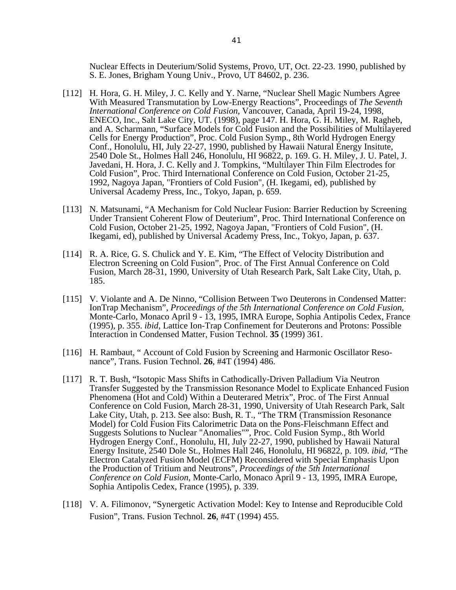Nuclear Effects in Deuterium/Solid Systems, Provo, UT, Oct. 22-23. 1990, published by S. E. Jones, Brigham Young Univ., Provo, UT 84602, p. 236.

- [112] H. Hora, G. H. Miley, J. C. Kelly and Y. Narne, "Nuclear Shell Magic Numbers Agree With Measured Transmutation by Low-Energy Reactions", Proceedings of *The Seventh International Conference on Cold Fusion*, Vancouver, Canada, April 19-24, 1998, ENECO, Inc., Salt Lake City, UT. (1998), page 147. H. Hora, G. H. Miley, M. Ragheb, and A. Scharmann, "Surface Models for Cold Fusion and the Possibilities of Multilayered Cells for Energy Production", Proc. Cold Fusion Symp., 8th World Hydrogen Energy Conf., Honolulu, HI, July 22-27, 1990, published by Hawaii Natural Energy Insitute, 2540 Dole St., Holmes Hall 246, Honolulu, HI 96822, p. 169. G. H. Miley, J. U. Patel, J. Javedani, H. Hora, J. C. Kelly and J. Tompkins, "Multilayer Thin Film Electrodes for Cold Fusion", Proc. Third International Conference on Cold Fusion, October 21-25, 1992, Nagoya Japan, "Frontiers of Cold Fusion", (H. Ikegami, ed), published by Universal Academy Press, Inc., Tokyo, Japan, p. 659.
- [113] N. Matsunami, "A Mechanism for Cold Nuclear Fusion: Barrier Reduction by Screening Under Transient Coherent Flow of Deuterium", Proc. Third International Conference on Cold Fusion, October 21-25, 1992, Nagoya Japan, "Frontiers of Cold Fusion", (H. Ikegami, ed), published by Universal Academy Press, Inc., Tokyo, Japan, p. 637.
- [114] R. A. Rice, G. S. Chulick and Y. E. Kim, "The Effect of Velocity Distribution and Electron Screening on Cold Fusion", Proc. of The First Annual Conference on Cold Fusion, March 28-31, 1990, University of Utah Research Park, Salt Lake City, Utah, p. 185.
- [115] V. Violante and A. De Ninno, "Collision Between Two Deuterons in Condensed Matter: IonTrap Mechanism", *Proceedings of the 5th International Conference on Cold Fusion*, Monte-Carlo, Monaco April 9 - 13, 1995, IMRA Europe, Sophia Antipolis Cedex, France (1995), p. 355. *ibid*, Lattice Ion-Trap Confinement for Deuterons and Protons: Possible Interaction in Condensed Matter, Fusion Technol. **35** (1999) 361.
- [116] H. Rambaut, "Account of Cold Fusion by Screening and Harmonic Oscillator Resonance", Trans. Fusion Technol. **26**, #4T (1994) 486.
- [117] R. T. Bush, "Isotopic Mass Shifts in Cathodically-Driven Palladium Via Neutron Transfer Suggested by the Transmission Resonance Model to Explicate Enhanced Fusion Phenomena (Hot and Cold) Within a Deuterared Metrix", Proc. of The First Annual Conference on Cold Fusion, March 28-31, 1990, University of Utah Research Park, Salt Lake City, Utah, p. 213. See also: Bush, R. T., "The TRM (Transmission Resonance Model) for Cold Fusion Fits Calorimetric Data on the Pons-Fleischmann Effect and Suggests Solutions to Nuclear "Anomalies"", Proc. Cold Fusion Symp., 8th World Hydrogen Energy Conf., Honolulu, HI, July 22-27, 1990, published by Hawaii Natural Energy Insitute, 2540 Dole St., Holmes Hall 246, Honolulu, HI 96822, p. 109. *ibid*, "The Electron Catalyzed Fusion Model (ECFM) Reconsidered with Special Emphasis Upon the Production of Tritium and Neutrons", *Proceedings of the 5th International Conference on Cold Fusion*, Monte-Carlo, Monaco April 9 - 13, 1995, IMRA Europe, Sophia Antipolis Cedex, France (1995), p. 339.
- [118] V. A. Filimonov, "Synergetic Activation Model: Key to Intense and Reproducible Cold Fusion", Trans. Fusion Technol. **26**, #4T (1994) 455.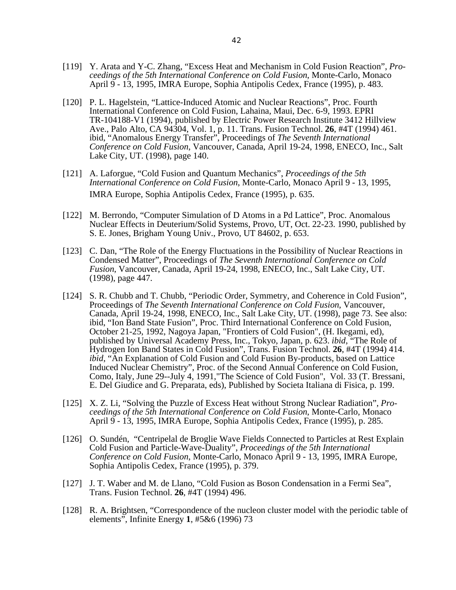- [119] Y. Arata and Y-C. Zhang, "Excess Heat and Mechanism in Cold Fusion Reaction", *Proceedings of the 5th International Conference on Cold Fusion*, Monte-Carlo, Monaco April 9 - 13, 1995, IMRA Europe, Sophia Antipolis Cedex, France (1995), p. 483.
- [120] P. L. Hagelstein, "Lattice-Induced Atomic and Nuclear Reactions", Proc. Fourth International Conference on Cold Fusion, Lahaina, Maui, Dec. 6-9, 1993. EPRI TR-104188-V1 (1994), published by Electric Power Research Institute 3412 Hillview Ave., Palo Alto, CA 94304, Vol. 1, p. 11. Trans. Fusion Technol. **26**, #4T (1994) 461. ibid, "Anomalous Energy Transfer", Proceedings of *The Seventh International Conference on Cold Fusion*, Vancouver, Canada, April 19-24, 1998, ENECO, Inc., Salt Lake City, UT. (1998), page 140.
- [121] A. Laforgue, "Cold Fusion and Quantum Mechanics", *Proceedings of the 5th International Conference on Cold Fusion*, Monte-Carlo, Monaco April 9 - 13, 1995, IMRA Europe, Sophia Antipolis Cedex, France (1995), p. 635.
- [122] M. Berrondo, "Computer Simulation of D Atoms in a Pd Lattice", Proc. Anomalous Nuclear Effects in Deuterium/Solid Systems, Provo, UT, Oct. 22-23. 1990, published by S. E. Jones, Brigham Young Univ., Provo, UT 84602, p. 653.
- [123] C. Dan, "The Role of the Energy Fluctuations in the Possibility of Nuclear Reactions in Condensed Matter", Proceedings of *The Seventh International Conference on Cold Fusion*, Vancouver, Canada, April 19-24, 1998, ENECO, Inc., Salt Lake City, UT. (1998), page 447.
- [124] S. R. Chubb and T. Chubb, "Periodic Order, Symmetry, and Coherence in Cold Fusion", Proceedings of *The Seventh International Conference on Cold Fusion*, Vancouver, Canada, April 19-24, 1998, ENECO, Inc., Salt Lake City, UT. (1998), page 73. See also: ibid, "Ion Band State Fusion", Proc. Third International Conference on Cold Fusion, October 21-25, 1992, Nagoya Japan, "Frontiers of Cold Fusion", (H. Ikegami, ed), published by Universal Academy Press, Inc., Tokyo, Japan, p. 623. *ibid*, "The Role of Hydrogen Ion Band States in Cold Fusion", Trans. Fusion Technol. **26**, #4T (1994) 414. *ibid*, "An Explanation of Cold Fusion and Cold Fusion By-products, based on Lattice Induced Nuclear Chemistry", Proc. of the Second Annual Conference on Cold Fusion, Como, Italy, June 29--July 4, 1991,"The Science of Cold Fusion", Vol. 33 (T. Bressani, E. Del Giudice and G. Preparata, eds), Published by Societa Italiana di Fisica, p. 199.
- [125] X. Z. Li, "Solving the Puzzle of Excess Heat without Strong Nuclear Radiation", *Proceedings of the 5th International Conference on Cold Fusion*, Monte-Carlo, Monaco April 9 - 13, 1995, IMRA Europe, Sophia Antipolis Cedex, France (1995), p. 285.
- [126] O. Sundén, "Centripelal de Broglie Wave Fields Connected to Particles at Rest Explain Cold Fusion and Particle-Wave-Duality", *Proceedings of the 5th International Conference on Cold Fusion*, Monte-Carlo, Monaco April 9 - 13, 1995, IMRA Europe, Sophia Antipolis Cedex, France (1995), p. 379.
- [127] J. T. Waber and M. de Llano, "Cold Fusion as Boson Condensation in a Fermi Sea", Trans. Fusion Technol. **26**, #4T (1994) 496.
- [128] R. A. Brightsen, "Correspondence of the nucleon cluster model with the periodic table of elements", Infinite Energy **1**, #5&6 (1996) 73